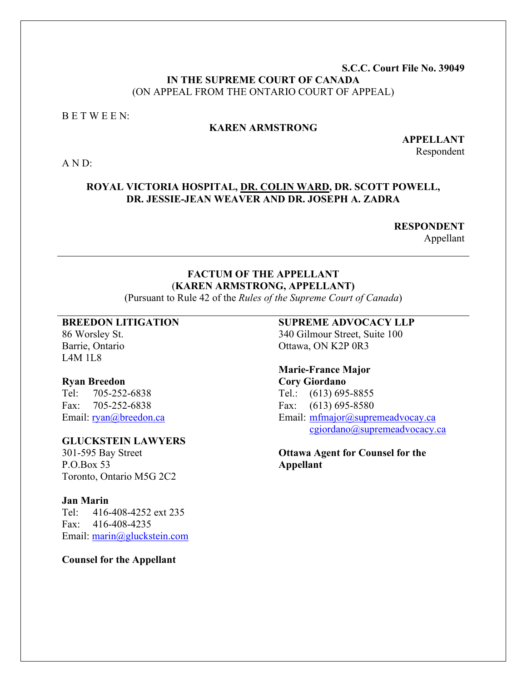### **S.C.C. Court File No. 39049 IN THE SUPREME COURT OF CANADA** (ON APPEAL FROM THE ONTARIO COURT OF APPEAL)

#### B E T W E E N:

#### **KAREN ARMSTRONG**

**APPELLANT** Respondent

A N D:

#### **ROYAL VICTORIA HOSPITAL, DR. COLIN WARD, DR. SCOTT POWELL, DR. JESSIE-JEAN WEAVER AND DR. JOSEPH A. ZADRA**

**RESPONDENT** 

Appellant

## **FACTUM OF THE APPELLANT** (**KAREN ARMSTRONG, APPELLANT)**

(Pursuant to Rule 42 of the *Rules of the Supreme Court of Canada*)

#### **BREEDON LITIGATION**

86 Worsley St. Barrie, Ontario L4M 1L8

#### **Ryan Breedon**

Tel: 705-252-6838 Fax: 705-252-6838 Email: [ryan@breedon.ca](mailto:ryan@breedon.ca)

## **GLUCKSTEIN LAWYERS**

301-595 Bay Street P.O.Box 53 Toronto, Ontario M5G 2C2

#### **Jan Marin**

Tel: 416-408-4252 ext 235 Fax: 416-408-4235 Email: [marin@gluckstein.com](mailto:marin@gluckstein.com)

**Counsel for the Appellant**

#### **SUPREME ADVOCACY LLP**

340 Gilmour Street, Suite 100 Ottawa, ON K2P 0R3

## **Marie-France Major Cory Giordano**

Tel.: (613) 695-8855 Fax: (613) 695-8580 Email: [mfmajor@supremeadvocay.ca](mailto:mfmajor@supremeadvocay.ca) [cgiordano@supremeadvocacy.ca](mailto:cgiordano@supremeadvocacy.ca)

**Ottawa Agent for Counsel for the Appellant**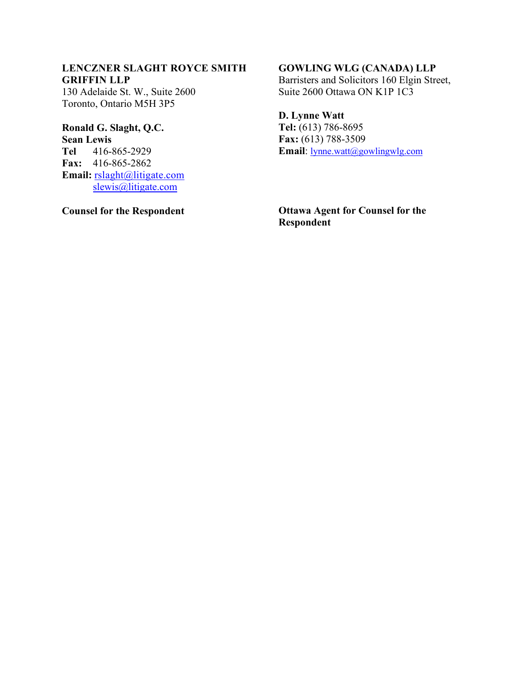#### **LENCZNER SLAGHT ROYCE SMITH GRIFFIN LLP**

130 Adelaide St. W., Suite 2600 Toronto, Ontario M5H 3P5

# **Ronald G. Slaght, Q.C.**

**Sean Lewis Tel** 416-865-2929 **Fax:** 416-865-2862 **Email:** [rslaght@litigate.com](mailto:rslaght@litigate.com) [slewis@litigate.com](mailto:slewis@litigate.com)

**Counsel for the Respondent** 

## **GOWLING WLG (CANADA) LLP**

Barristers and Solicitors 160 Elgin Street, Suite 2600 Ottawa ON K1P 1C3

## **D. Lynne Watt**

**Tel:** (613) 786-8695 **Fax:** (613) 788-3509 **Email**: [lynne.watt@gowlingwlg.com](mailto:lynne.watt@gowlingwlg.com)

**Ottawa Agent for Counsel for the Respondent**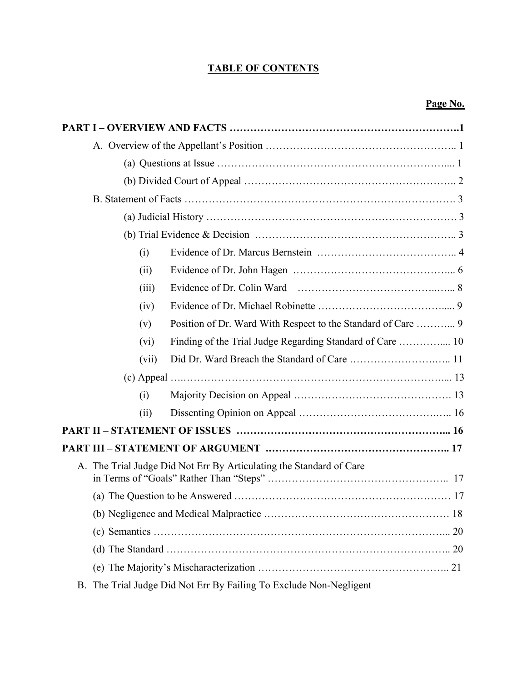## **TABLE OF CONTENTS**

## **Page No.**

|    |         | (a) Questions at Issue $\ldots$ $\ldots$ $\ldots$ $\ldots$ $\ldots$ $\ldots$ $\ldots$ $\ldots$ $\ldots$ $\ldots$ $\ldots$ $\ldots$ $\ldots$ |
|----|---------|---------------------------------------------------------------------------------------------------------------------------------------------|
|    |         |                                                                                                                                             |
|    |         |                                                                                                                                             |
|    |         |                                                                                                                                             |
|    |         |                                                                                                                                             |
|    | (i)     |                                                                                                                                             |
|    | (ii)    |                                                                                                                                             |
|    | (iii)   |                                                                                                                                             |
|    | (iv)    |                                                                                                                                             |
|    | (v)     | Position of Dr. Ward With Respect to the Standard of Care  9                                                                                |
|    | $(v_i)$ |                                                                                                                                             |
|    | (vii)   |                                                                                                                                             |
|    |         |                                                                                                                                             |
|    | (i)     |                                                                                                                                             |
|    | (ii)    |                                                                                                                                             |
|    |         |                                                                                                                                             |
|    |         |                                                                                                                                             |
|    |         | A. The Trial Judge Did Not Err By Articulating the Standard of Care                                                                         |
|    |         |                                                                                                                                             |
|    |         |                                                                                                                                             |
|    |         |                                                                                                                                             |
|    |         |                                                                                                                                             |
|    |         |                                                                                                                                             |
| В. |         | The Trial Judge Did Not Err By Failing To Exclude Non-Negligent                                                                             |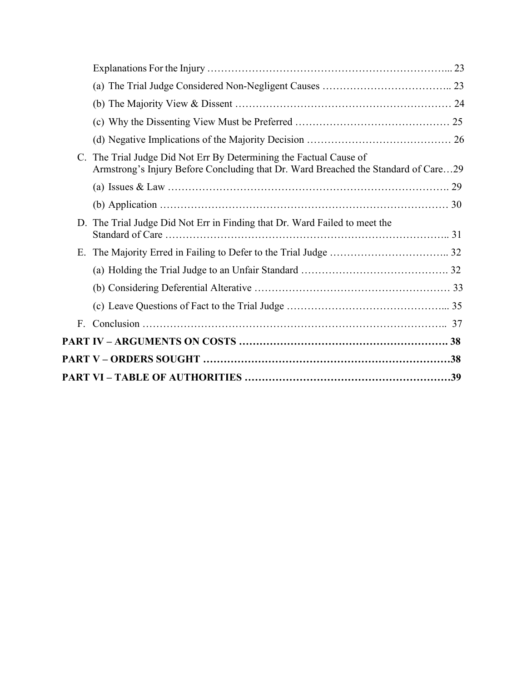| $C_{\cdot}$ | The Trial Judge Did Not Err By Determining the Factual Cause of<br>Armstrong's Injury Before Concluding that Dr. Ward Breached the Standard of Care29 |  |
|-------------|-------------------------------------------------------------------------------------------------------------------------------------------------------|--|
|             |                                                                                                                                                       |  |
|             |                                                                                                                                                       |  |
|             | D. The Trial Judge Did Not Err in Finding that Dr. Ward Failed to meet the                                                                            |  |
| E.          |                                                                                                                                                       |  |
|             |                                                                                                                                                       |  |
|             |                                                                                                                                                       |  |
|             |                                                                                                                                                       |  |
| F.          |                                                                                                                                                       |  |
|             |                                                                                                                                                       |  |
|             |                                                                                                                                                       |  |
|             |                                                                                                                                                       |  |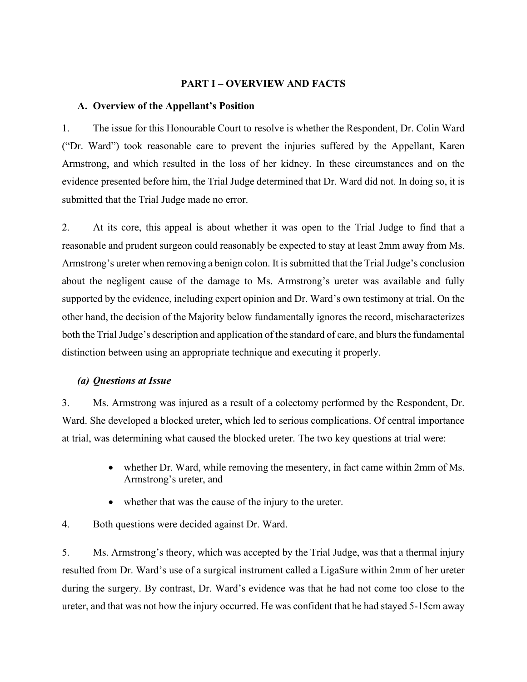#### **PART I – OVERVIEW AND FACTS**

#### **A. Overview of the Appellant's Position**

1. The issue for this Honourable Court to resolve is whether the Respondent, Dr. Colin Ward ("Dr. Ward") took reasonable care to prevent the injuries suffered by the Appellant, Karen Armstrong, and which resulted in the loss of her kidney. In these circumstances and on the evidence presented before him, the Trial Judge determined that Dr. Ward did not. In doing so, it is submitted that the Trial Judge made no error.

2. At its core, this appeal is about whether it was open to the Trial Judge to find that a reasonable and prudent surgeon could reasonably be expected to stay at least 2mm away from Ms. Armstrong's ureter when removing a benign colon. It is submitted that the Trial Judge's conclusion about the negligent cause of the damage to Ms. Armstrong's ureter was available and fully supported by the evidence, including expert opinion and Dr. Ward's own testimony at trial. On the other hand, the decision of the Majority below fundamentally ignores the record, mischaracterizes both the Trial Judge's description and application of the standard of care, and blurs the fundamental distinction between using an appropriate technique and executing it properly.

#### *(a) Questions at Issue*

3. Ms. Armstrong was injured as a result of a colectomy performed by the Respondent, Dr. Ward. She developed a blocked ureter, which led to serious complications. Of central importance at trial, was determining what caused the blocked ureter. The two key questions at trial were:

- whether Dr. Ward, while removing the mesentery, in fact came within 2mm of Ms. Armstrong's ureter, and
- whether that was the cause of the injury to the ureter.
- 4. Both questions were decided against Dr. Ward.

5. Ms. Armstrong's theory, which was accepted by the Trial Judge, was that a thermal injury resulted from Dr. Ward's use of a surgical instrument called a LigaSure within 2mm of her ureter during the surgery. By contrast, Dr. Ward's evidence was that he had not come too close to the ureter, and that was not how the injury occurred. He was confident that he had stayed 5-15cm away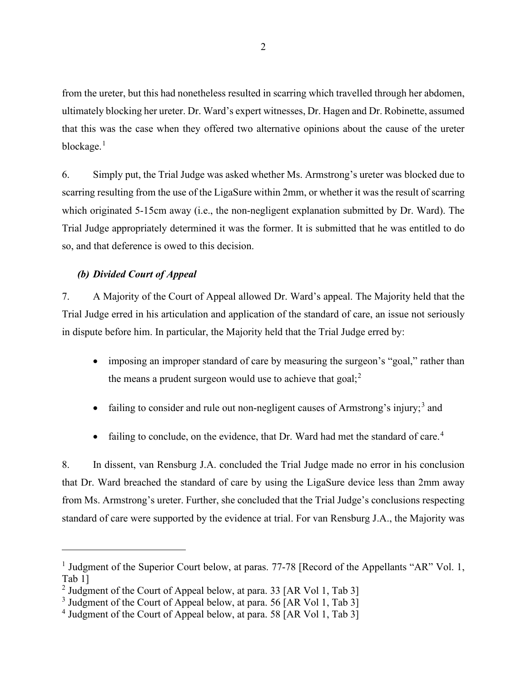from the ureter, but this had nonetheless resulted in scarring which travelled through her abdomen, ultimately blocking her ureter. Dr. Ward's expert witnesses, Dr. Hagen and Dr. Robinette, assumed that this was the case when they offered two alternative opinions about the cause of the ureter blockage. $<sup>1</sup>$  $<sup>1</sup>$  $<sup>1</sup>$ </sup>

6. Simply put, the Trial Judge was asked whether Ms. Armstrong's ureter was blocked due to scarring resulting from the use of the LigaSure within 2mm, or whether it was the result of scarring which originated 5-15cm away (i.e., the non-negligent explanation submitted by Dr. Ward). The Trial Judge appropriately determined it was the former. It is submitted that he was entitled to do so, and that deference is owed to this decision.

#### *(b) Divided Court of Appeal*

7. A Majority of the Court of Appeal allowed Dr. Ward's appeal. The Majority held that the Trial Judge erred in his articulation and application of the standard of care, an issue not seriously in dispute before him. In particular, the Majority held that the Trial Judge erred by:

- imposing an improper standard of care by measuring the surgeon's "goal," rather than the means a prudent surgeon would use to achieve that goal;<sup>[2](#page-5-1)</sup>
- failing to consider and rule out non-negligent causes of Armstrong's injury;<sup>[3](#page-5-2)</sup> and
- failing to conclude, on the evidence, that Dr. Ward had met the standard of care.<sup>[4](#page-5-3)</sup>

8. In dissent, van Rensburg J.A. concluded the Trial Judge made no error in his conclusion that Dr. Ward breached the standard of care by using the LigaSure device less than 2mm away from Ms. Armstrong's ureter. Further, she concluded that the Trial Judge's conclusions respecting standard of care were supported by the evidence at trial. For van Rensburg J.A., the Majority was

<span id="page-5-0"></span><sup>&</sup>lt;sup>1</sup> Judgment of the Superior Court below, at paras. 77-78 [Record of the Appellants "AR" Vol. 1, Tab 1]

<span id="page-5-1"></span><sup>&</sup>lt;sup>2</sup> Judgment of the Court of Appeal below, at para. 33 [AR Vol 1, Tab 3]

<span id="page-5-2"></span><sup>&</sup>lt;sup>3</sup> Judgment of the Court of Appeal below, at para. 56 [AR Vol 1, Tab 3]

<span id="page-5-3"></span><sup>&</sup>lt;sup>4</sup> Judgment of the Court of Appeal below, at para. 58 [AR Vol 1, Tab 3]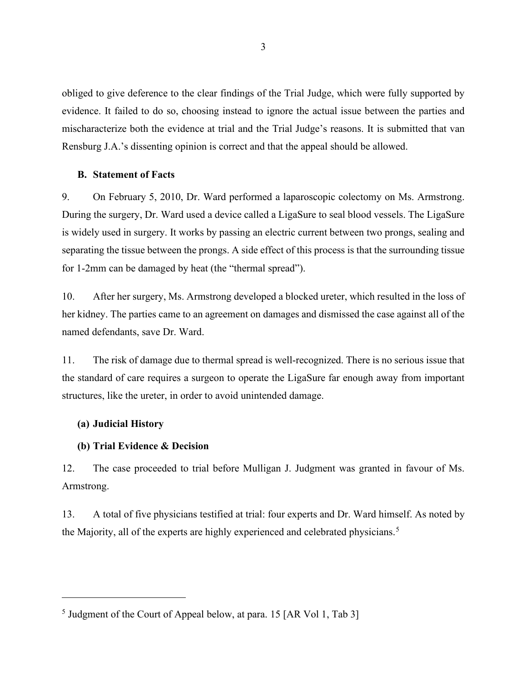obliged to give deference to the clear findings of the Trial Judge, which were fully supported by evidence. It failed to do so, choosing instead to ignore the actual issue between the parties and mischaracterize both the evidence at trial and the Trial Judge's reasons. It is submitted that van Rensburg J.A.'s dissenting opinion is correct and that the appeal should be allowed.

#### **B. Statement of Facts**

9. On February 5, 2010, Dr. Ward performed a laparoscopic colectomy on Ms. Armstrong. During the surgery, Dr. Ward used a device called a LigaSure to seal blood vessels. The LigaSure is widely used in surgery. It works by passing an electric current between two prongs, sealing and separating the tissue between the prongs. A side effect of this process is that the surrounding tissue for 1-2mm can be damaged by heat (the "thermal spread").

10. After her surgery, Ms. Armstrong developed a blocked ureter, which resulted in the loss of her kidney. The parties came to an agreement on damages and dismissed the case against all of the named defendants, save Dr. Ward.

11. The risk of damage due to thermal spread is well-recognized. There is no serious issue that the standard of care requires a surgeon to operate the LigaSure far enough away from important structures, like the ureter, in order to avoid unintended damage.

#### **(a) Judicial History**

#### **(b) Trial Evidence & Decision**

12. The case proceeded to trial before Mulligan J. Judgment was granted in favour of Ms. Armstrong.

13. A total of five physicians testified at trial: four experts and Dr. Ward himself. As noted by the Majority, all of the experts are highly experienced and celebrated physicians.<sup>[5](#page-6-0)</sup>

<span id="page-6-0"></span><sup>5</sup> Judgment of the Court of Appeal below, at para. 15 [AR Vol 1, Tab 3]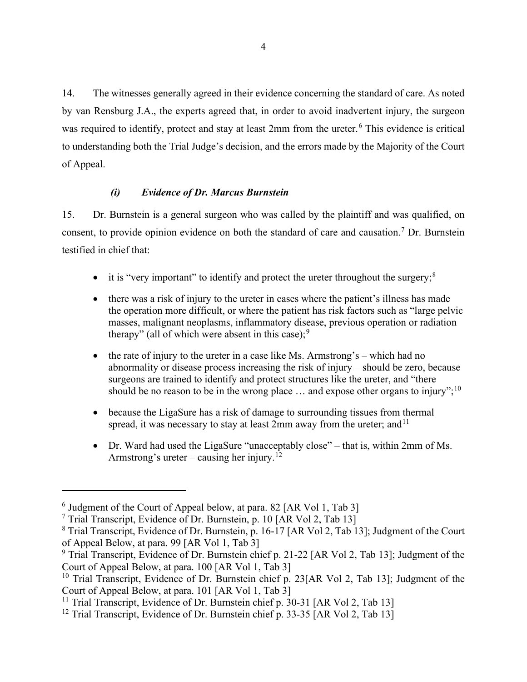14. The witnesses generally agreed in their evidence concerning the standard of care. As noted by van Rensburg J.A., the experts agreed that, in order to avoid inadvertent injury, the surgeon was required to identify, protect and stay at least 2mm from the ureter.<sup>[6](#page-7-0)</sup> This evidence is critical to understanding both the Trial Judge's decision, and the errors made by the Majority of the Court of Appeal.

## *(i) Evidence of Dr. Marcus Burnstein*

15. Dr. Burnstein is a general surgeon who was called by the plaintiff and was qualified, on consent, to provide opinion evidence on both the standard of care and causation.[7](#page-7-1) Dr. Burnstein testified in chief that:

- it is "very important" to identify and protect the ureter throughout the surgery;  $8$
- there was a risk of injury to the ureter in cases where the patient's illness has made the operation more difficult, or where the patient has risk factors such as "large pelvic masses, malignant neoplasms, inflammatory disease, previous operation or radiation therapy" (all of which were absent in this case);  $9$
- the rate of injury to the ureter in a case like Ms. Armstrong's which had no abnormality or disease process increasing the risk of injury – should be zero, because surgeons are trained to identify and protect structures like the ureter, and "there should be no reason to be in the wrong place  $\ldots$  and expose other organs to injury";<sup>[10](#page-7-4)</sup>
- because the LigaSure has a risk of damage to surrounding tissues from thermal spread, it was necessary to stay at least 2mm away from the ureter; and  $11$
- Dr. Ward had used the LigaSure "unacceptably close" that is, within 2mm of Ms. Armstrong's ureter – causing her injury.<sup>[12](#page-7-6)</sup>

<span id="page-7-0"></span> $6$  Judgment of the Court of Appeal below, at para. 82 [AR Vol 1, Tab 3]

<span id="page-7-1"></span><sup>7</sup> Trial Transcript, Evidence of Dr. Burnstein, p. 10 [AR Vol 2, Tab 13]

<span id="page-7-2"></span><sup>8</sup> Trial Transcript, Evidence of Dr. Burnstein, p. 16-17 [AR Vol 2, Tab 13]; Judgment of the Court of Appeal Below, at para. 99 [AR Vol 1, Tab 3]

<span id="page-7-3"></span><sup>&</sup>lt;sup>9</sup> Trial Transcript, Evidence of Dr. Burnstein chief p. 21-22 [AR Vol 2, Tab 13]; Judgment of the Court of Appeal Below, at para. 100 [AR Vol 1, Tab 3]

<span id="page-7-4"></span><sup>&</sup>lt;sup>10</sup> Trial Transcript, Evidence of Dr. Burnstein chief p. 23[AR Vol 2, Tab 13]; Judgment of the Court of Appeal Below, at para. 101 [AR Vol 1, Tab 3]

<span id="page-7-5"></span><sup>&</sup>lt;sup>11</sup> Trial Transcript, Evidence of Dr. Burnstein chief p.  $30-31$  [AR Vol 2, Tab 13]

<span id="page-7-6"></span><sup>&</sup>lt;sup>12</sup> Trial Transcript, Evidence of Dr. Burnstein chief p. 33-35 [AR Vol 2, Tab 13]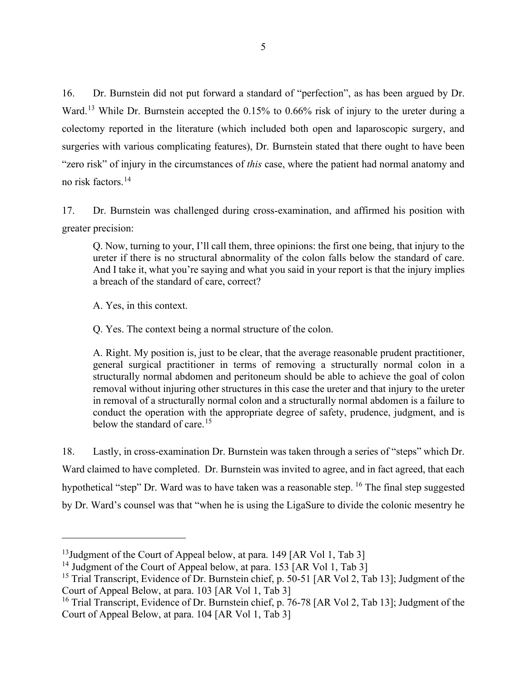16. Dr. Burnstein did not put forward a standard of "perfection", as has been argued by Dr. Ward.<sup>[13](#page-8-0)</sup> While Dr. Burnstein accepted the 0.15% to 0.66% risk of injury to the ureter during a colectomy reported in the literature (which included both open and laparoscopic surgery, and surgeries with various complicating features), Dr. Burnstein stated that there ought to have been "zero risk" of injury in the circumstances of *this* case, where the patient had normal anatomy and no risk factors. [14](#page-8-1)

17. Dr. Burnstein was challenged during cross-examination, and affirmed his position with greater precision:

Q. Now, turning to your, I'll call them, three opinions: the first one being, that injury to the ureter if there is no structural abnormality of the colon falls below the standard of care. And I take it, what you're saying and what you said in your report is that the injury implies a breach of the standard of care, correct?

A. Yes, in this context.

Q. Yes. The context being a normal structure of the colon.

A. Right. My position is, just to be clear, that the average reasonable prudent practitioner, general surgical practitioner in terms of removing a structurally normal colon in a structurally normal abdomen and peritoneum should be able to achieve the goal of colon removal without injuring other structures in this case the ureter and that injury to the ureter in removal of a structurally normal colon and a structurally normal abdomen is a failure to conduct the operation with the appropriate degree of safety, prudence, judgment, and is below the standard of care.<sup>[15](#page-8-2)</sup>

18. Lastly, in cross-examination Dr. Burnstein was taken through a series of "steps" which Dr. Ward claimed to have completed. Dr. Burnstein was invited to agree, and in fact agreed, that each hypothetical "step" Dr. Ward was to have taken was a reasonable step. <sup>[16](#page-8-3)</sup> The final step suggested by Dr. Ward's counsel was that "when he is using the LigaSure to divide the colonic mesentry he

<span id="page-8-0"></span><sup>&</sup>lt;sup>13</sup>Judgment of the Court of Appeal below, at para. 149 [AR Vol 1, Tab 3]

<span id="page-8-1"></span><sup>&</sup>lt;sup>14</sup> Judgment of the Court of Appeal below, at para. 153 [AR Vol 1, Tab 3]

<span id="page-8-2"></span><sup>&</sup>lt;sup>15</sup> Trial Transcript, Evidence of Dr. Burnstein chief, p. 50-51 [AR Vol 2, Tab 13]; Judgment of the Court of Appeal Below, at para. 103 [AR Vol 1, Tab 3]

<span id="page-8-3"></span><sup>&</sup>lt;sup>16</sup> Trial Transcript, Evidence of Dr. Burnstein chief, p. 76-78 [AR Vol 2, Tab 13]; Judgment of the Court of Appeal Below, at para. 104 [AR Vol 1, Tab 3]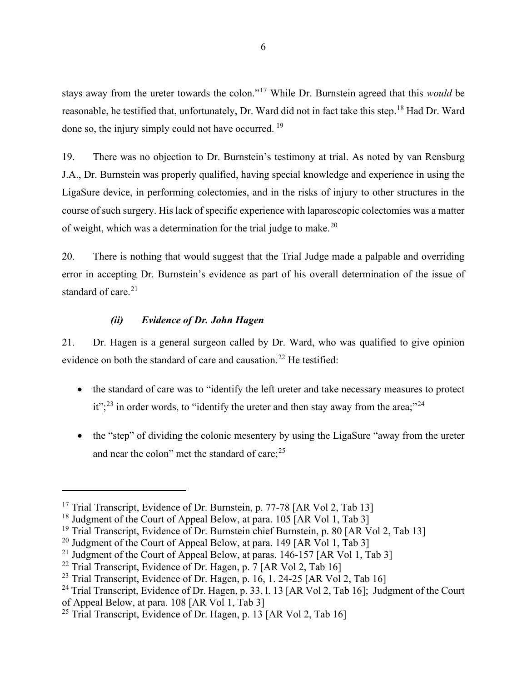stays away from the ureter towards the colon."[17](#page-9-0) While Dr. Burnstein agreed that this *would* be reasonable, he testified that, unfortunately, Dr. Ward did not in fact take this step.[18](#page-9-1) Had Dr. Ward done so, the injury simply could not have occurred. <sup>[19](#page-9-2)</sup>

19. There was no objection to Dr. Burnstein's testimony at trial. As noted by van Rensburg J.A., Dr. Burnstein was properly qualified, having special knowledge and experience in using the LigaSure device, in performing colectomies, and in the risks of injury to other structures in the course of such surgery. His lack of specific experience with laparoscopic colectomies was a matter of weight, which was a determination for the trial judge to make.[20](#page-9-3)

20. There is nothing that would suggest that the Trial Judge made a palpable and overriding error in accepting Dr. Burnstein's evidence as part of his overall determination of the issue of standard of care. $21$ 

#### *(ii) Evidence of Dr. John Hagen*

21. Dr. Hagen is a general surgeon called by Dr. Ward, who was qualified to give opinion evidence on both the standard of care and causation.<sup>[22](#page-9-5)</sup> He testified:

- the standard of care was to "identify the left ureter and take necessary measures to protect  $it$ <sup>";[23](#page-9-6)</sup> in order words, to "identify the ureter and then stay away from the area;"<sup>[24](#page-9-7)</sup>
- the "step" of dividing the colonic mesentery by using the LigaSure "away from the ureter and near the colon" met the standard of care;<sup>[25](#page-9-8)</sup>

<span id="page-9-0"></span><sup>&</sup>lt;sup>17</sup> Trial Transcript, Evidence of Dr. Burnstein, p. 77-78 [AR Vol 2, Tab 13]

<span id="page-9-1"></span><sup>&</sup>lt;sup>18</sup> Judgment of the Court of Appeal Below, at para.  $105$  [AR Vol 1, Tab 3]

<span id="page-9-2"></span><sup>&</sup>lt;sup>19</sup> Trial Transcript, Evidence of Dr. Burnstein chief Burnstein, p. 80 [AR Vol 2, Tab 13]

<span id="page-9-3"></span><sup>&</sup>lt;sup>20</sup> Judgment of the Court of Appeal Below, at para. 149 [AR Vol 1, Tab 3]

<span id="page-9-4"></span><sup>&</sup>lt;sup>21</sup> Judgment of the Court of Appeal Below, at paras.  $146-157$  [AR Vol 1, Tab 3]

<span id="page-9-5"></span><sup>&</sup>lt;sup>22</sup> Trial Transcript, Evidence of Dr. Hagen, p. 7 [AR Vol 2, Tab 16]

<span id="page-9-6"></span><sup>&</sup>lt;sup>23</sup> Trial Transcript, Evidence of Dr. Hagen, p. 16, 1, 24-25 [AR Vol 2, Tab 16]

<span id="page-9-7"></span><sup>&</sup>lt;sup>24</sup> Trial Transcript, Evidence of Dr. Hagen, p. 33, l. 13 [AR Vol 2, Tab 16]; Judgment of the Court of Appeal Below, at para. 108 [AR Vol 1, Tab 3]

<span id="page-9-8"></span><sup>&</sup>lt;sup>25</sup> Trial Transcript, Evidence of Dr. Hagen, p. 13 [AR Vol 2, Tab 16]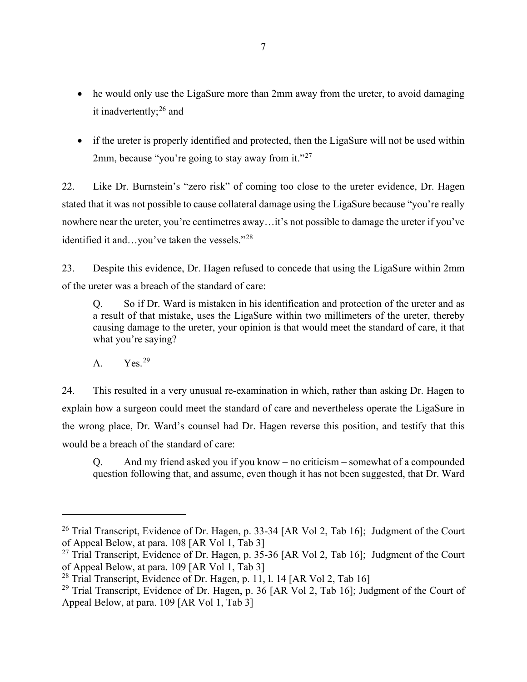- he would only use the LigaSure more than 2mm away from the ureter, to avoid damaging it inadvertently; $^{26}$  $^{26}$  $^{26}$  and
- if the ureter is properly identified and protected, then the LigaSure will not be used within 2mm, because "you're going to stay away from it."<sup>[27](#page-10-1)</sup>

22. Like Dr. Burnstein's "zero risk" of coming too close to the ureter evidence, Dr. Hagen stated that it was not possible to cause collateral damage using the LigaSure because "you're really nowhere near the ureter, you're centimetres away…it's not possible to damage the ureter if you've identified it and…you've taken the vessels."[28](#page-10-2)

23. Despite this evidence, Dr. Hagen refused to concede that using the LigaSure within 2mm of the ureter was a breach of the standard of care:

Q. So if Dr. Ward is mistaken in his identification and protection of the ureter and as a result of that mistake, uses the LigaSure within two millimeters of the ureter, thereby causing damage to the ureter, your opinion is that would meet the standard of care, it that what you're saying?

A.  $Yes.<sup>29</sup>$  $Yes.<sup>29</sup>$  $Yes.<sup>29</sup>$ 

24. This resulted in a very unusual re-examination in which, rather than asking Dr. Hagen to explain how a surgeon could meet the standard of care and nevertheless operate the LigaSure in the wrong place, Dr. Ward's counsel had Dr. Hagen reverse this position, and testify that this would be a breach of the standard of care:

Q. And my friend asked you if you know – no criticism – somewhat of a compounded question following that, and assume, even though it has not been suggested, that Dr. Ward

<span id="page-10-0"></span><sup>&</sup>lt;sup>26</sup> Trial Transcript, Evidence of Dr. Hagen, p. 33-34 [AR Vol 2, Tab 16]; Judgment of the Court of Appeal Below, at para. 108 [AR Vol 1, Tab 3]

<span id="page-10-1"></span><sup>&</sup>lt;sup>27</sup> Trial Transcript, Evidence of Dr. Hagen, p.  $35-36$  [AR Vol 2, Tab 16]; Judgment of the Court of Appeal Below, at para. 109 [AR Vol 1, Tab 3]

<span id="page-10-2"></span><sup>&</sup>lt;sup>28</sup> Trial Transcript, Evidence of Dr. Hagen, p. 11, l. 14 [AR Vol 2, Tab 16]

<span id="page-10-3"></span><sup>&</sup>lt;sup>29</sup> Trial Transcript, Evidence of Dr. Hagen, p. 36 [AR Vol 2, Tab 16]; Judgment of the Court of Appeal Below, at para. 109 [AR Vol 1, Tab 3]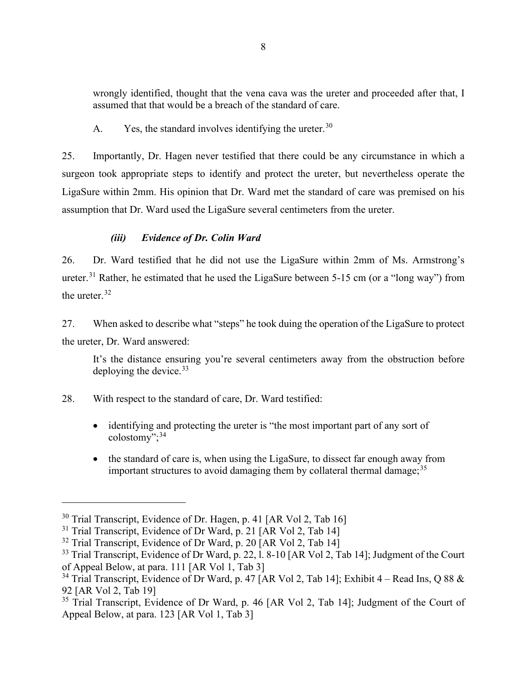wrongly identified, thought that the vena cava was the ureter and proceeded after that, I assumed that that would be a breach of the standard of care.

A. Yes, the standard involves identifying the ureter.<sup>[30](#page-11-0)</sup>

25. Importantly, Dr. Hagen never testified that there could be any circumstance in which a surgeon took appropriate steps to identify and protect the ureter, but nevertheless operate the LigaSure within 2mm. His opinion that Dr. Ward met the standard of care was premised on his assumption that Dr. Ward used the LigaSure several centimeters from the ureter.

## *(iii) Evidence of Dr. Colin Ward*

26. Dr. Ward testified that he did not use the LigaSure within 2mm of Ms. Armstrong's ureter.<sup>[31](#page-11-1)</sup> Rather, he estimated that he used the LigaSure between 5-15 cm (or a "long way") from the ureter.<sup>[32](#page-11-2)</sup>

27. When asked to describe what "steps" he took duing the operation of the LigaSure to protect the ureter, Dr. Ward answered:

It's the distance ensuring you're several centimeters away from the obstruction before deploying the device.  $33$ 

28. With respect to the standard of care, Dr. Ward testified:

- identifying and protecting the ureter is "the most important part of any sort of  $colostomv$ ";<sup>[34](#page-11-4)</sup>
- the standard of care is, when using the LigaSure, to dissect far enough away from important structures to avoid damaging them by collateral thermal damage;  $35$

<span id="page-11-0"></span><sup>&</sup>lt;sup>30</sup> Trial Transcript, Evidence of Dr. Hagen, p. 41 [AR Vol 2, Tab 16]

<span id="page-11-1"></span> $31$  Trial Transcript, Evidence of Dr Ward, p. 21 [AR Vol 2, Tab 14]

<span id="page-11-2"></span><sup>&</sup>lt;sup>32</sup> Trial Transcript, Evidence of Dr Ward, p. 20 [AR Vol 2, Tab 14]

<span id="page-11-3"></span><sup>&</sup>lt;sup>33</sup> Trial Transcript, Evidence of Dr Ward, p. 22, 1, 8-10 [AR Vol 2, Tab 14]; Judgment of the Court of Appeal Below, at para. 111 [AR Vol 1, Tab 3]

<span id="page-11-4"></span><sup>&</sup>lt;sup>34</sup> Trial Transcript, Evidence of Dr Ward, p. 47 [AR Vol 2, Tab 14]; Exhibit 4 – Read Ins, Q 88 & 92 [AR Vol 2, Tab 19]

<span id="page-11-5"></span> $35$  Trial Transcript, Evidence of Dr Ward, p. 46 [AR Vol 2, Tab 14]; Judgment of the Court of Appeal Below, at para. 123 [AR Vol 1, Tab 3]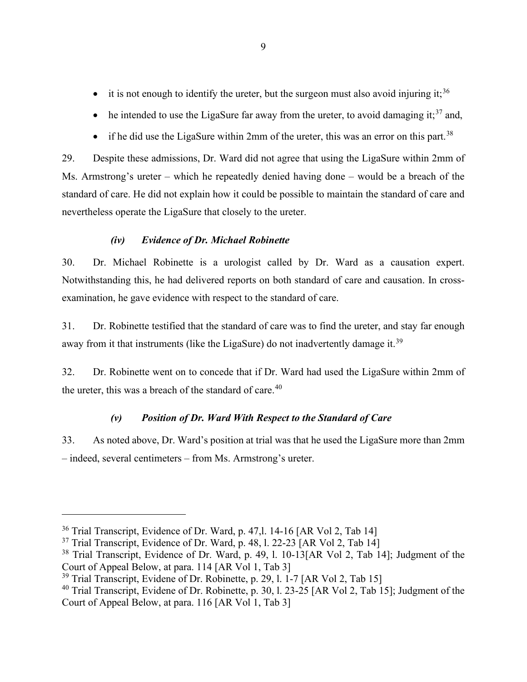- it is not enough to identify the ureter, but the surgeon must also avoid injuring it;<sup>[36](#page-12-0)</sup>
- he intended to use the LigaSure far away from the ureter, to avoid damaging it;  $37$  and,
- if he did use the LigaSure within 2mm of the ureter, this was an error on this part.<sup>[38](#page-12-2)</sup>

29. Despite these admissions, Dr. Ward did not agree that using the LigaSure within 2mm of Ms. Armstrong's ureter – which he repeatedly denied having done – would be a breach of the standard of care. He did not explain how it could be possible to maintain the standard of care and nevertheless operate the LigaSure that closely to the ureter.

### *(iv) Evidence of Dr. Michael Robinette*

30. Dr. Michael Robinette is a urologist called by Dr. Ward as a causation expert. Notwithstanding this, he had delivered reports on both standard of care and causation. In crossexamination, he gave evidence with respect to the standard of care.

31. Dr. Robinette testified that the standard of care was to find the ureter, and stay far enough away from it that instruments (like the LigaSure) do not inadvertently damage it.<sup>[39](#page-12-3)</sup>

32. Dr. Robinette went on to concede that if Dr. Ward had used the LigaSure within 2mm of the ureter, this was a breach of the standard of care. $40$ 

#### *(v) Position of Dr. Ward With Respect to the Standard of Care*

33. As noted above, Dr. Ward's position at trial was that he used the LigaSure more than 2mm – indeed, several centimeters – from Ms. Armstrong's ureter.

<span id="page-12-0"></span><sup>36</sup> Trial Transcript, Evidence of Dr. Ward, p. 47,l. 14-16 [AR Vol 2, Tab 14]

<span id="page-12-1"></span> $37$  Trial Transcript, Evidence of Dr. Ward, p. 48, l. 22-23 [AR Vol 2, Tab 14]

<span id="page-12-2"></span><sup>&</sup>lt;sup>38</sup> Trial Transcript, Evidence of Dr. Ward, p. 49, 1. 10-13[AR Vol 2, Tab 14]; Judgment of the Court of Appeal Below, at para. 114 [AR Vol 1, Tab 3]

<span id="page-12-3"></span><sup>&</sup>lt;sup>39</sup> Trial Transcript, Evidene of Dr. Robinette, p. 29, l. 1-7 [AR Vol 2, Tab 15]

<span id="page-12-4"></span><sup>&</sup>lt;sup>40</sup> Trial Transcript, Evidene of Dr. Robinette, p. 30, 1. 23-25 [AR Vol 2, Tab 15]; Judgment of the Court of Appeal Below, at para. 116 [AR Vol 1, Tab 3]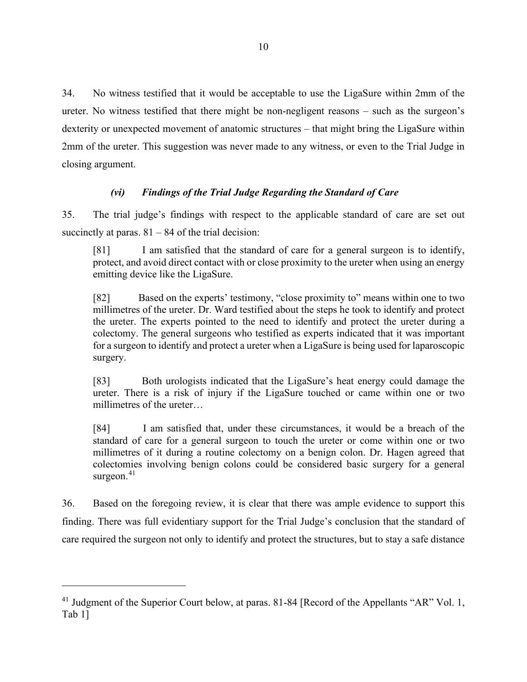34. No witness testified that it would be acceptable to use the LigaSure within 2mm of the ureter. No witness testified that there might be non-negligent reasons – such as the surgeon's dexterity or unexpected movement of anatomic structures – that might bring the LigaSure within 2mm of the ureter. This suggestion was never made to any witness, or even to the Trial Judge in closing argument.

### *(vi) Findings of the Trial Judge Regarding the Standard of Care*

35. The trial judge's findings with respect to the applicable standard of care are set out succinctly at paras.  $81 - 84$  of the trial decision:

[81] I am satisfied that the standard of care for a general surgeon is to identify, protect, and avoid direct contact with or close proximity to the ureter when using an energy emitting device like the LigaSure.

[82] Based on the experts' testimony, "close proximity to" means within one to two millimetres of the ureter. Dr. Ward testified about the steps he took to identify and protect the ureter. The experts pointed to the need to identify and protect the ureter during a colectomy. The general surgeons who testified as experts indicated that it was important for a surgeon to identify and protect a ureter when a LigaSure is being used for laparoscopic surgery.

[83] Both urologists indicated that the LigaSure's heat energy could damage the ureter. There is a risk of injury if the LigaSure touched or came within one or two millimetres of the ureter…

[84] I am satisfied that, under these circumstances, it would be a breach of the standard of care for a general surgeon to touch the ureter or come within one or two millimetres of it during a routine colectomy on a benign colon. Dr. Hagen agreed that colectomies involving benign colons could be considered basic surgery for a general surgeon.<sup>[41](#page-13-0)</sup>

36. Based on the foregoing review, it is clear that there was ample evidence to support this finding. There was full evidentiary support for the Trial Judge's conclusion that the standard of care required the surgeon not only to identify and protect the structures, but to stay a safe distance

<span id="page-13-0"></span><sup>&</sup>lt;sup>41</sup> Judgment of the Superior Court below, at paras. 81-84 [Record of the Appellants "AR" Vol. 1, Tab 1]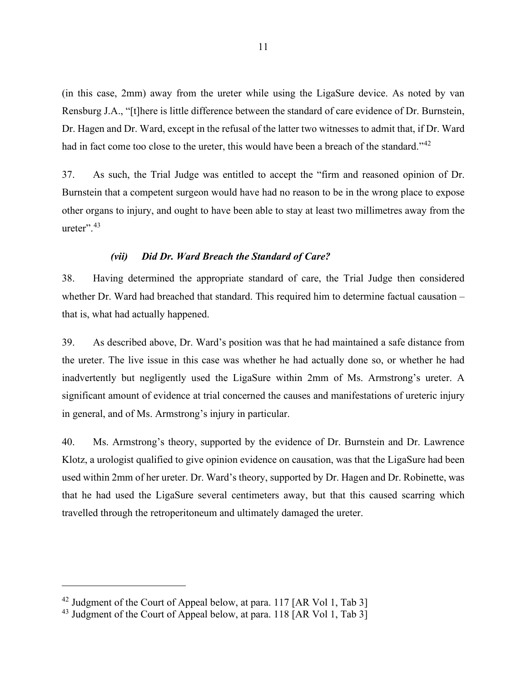(in this case, 2mm) away from the ureter while using the LigaSure device. As noted by van Rensburg J.A., "[t]here is little difference between the standard of care evidence of Dr. Burnstein, Dr. Hagen and Dr. Ward, except in the refusal of the latter two witnesses to admit that, if Dr. Ward had in fact come too close to the ureter, this would have been a breach of the standard."<sup>[42](#page-14-0)</sup>

37. As such, the Trial Judge was entitled to accept the "firm and reasoned opinion of Dr. Burnstein that a competent surgeon would have had no reason to be in the wrong place to expose other organs to injury, and ought to have been able to stay at least two millimetres away from the ureter". [43](#page-14-1)

#### *(vii) Did Dr. Ward Breach the Standard of Care?*

38. Having determined the appropriate standard of care, the Trial Judge then considered whether Dr. Ward had breached that standard. This required him to determine factual causation – that is, what had actually happened.

39. As described above, Dr. Ward's position was that he had maintained a safe distance from the ureter. The live issue in this case was whether he had actually done so, or whether he had inadvertently but negligently used the LigaSure within 2mm of Ms. Armstrong's ureter. A significant amount of evidence at trial concerned the causes and manifestations of ureteric injury in general, and of Ms. Armstrong's injury in particular.

40. Ms. Armstrong's theory, supported by the evidence of Dr. Burnstein and Dr. Lawrence Klotz, a urologist qualified to give opinion evidence on causation, was that the LigaSure had been used within 2mm of her ureter. Dr. Ward's theory, supported by Dr. Hagen and Dr. Robinette, was that he had used the LigaSure several centimeters away, but that this caused scarring which travelled through the retroperitoneum and ultimately damaged the ureter.

<span id="page-14-0"></span> $42$  Judgment of the Court of Appeal below, at para. 117 [AR Vol 1, Tab 3]

<span id="page-14-1"></span> $^{43}$  Judgment of the Court of Appeal below, at para. 118 [AR Vol 1, Tab 3]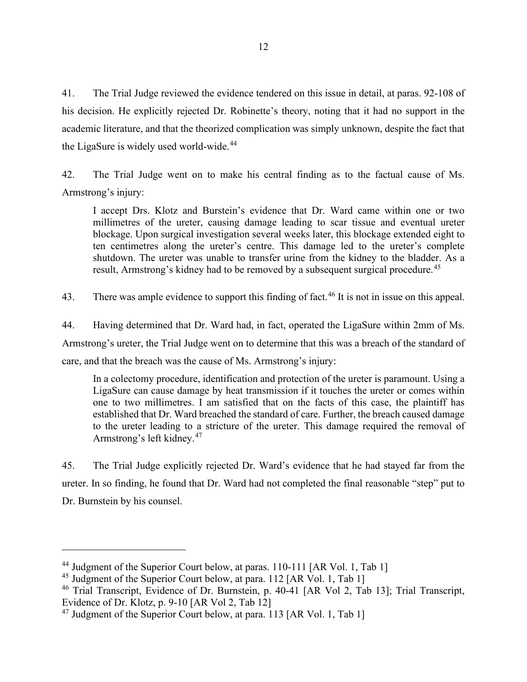41. The Trial Judge reviewed the evidence tendered on this issue in detail, at paras. 92-108 of his decision. He explicitly rejected Dr. Robinette's theory, noting that it had no support in the academic literature, and that the theorized complication was simply unknown, despite the fact that the LigaSure is widely used world-wide.<sup>[44](#page-15-0)</sup>

42. The Trial Judge went on to make his central finding as to the factual cause of Ms. Armstrong's injury:

I accept Drs. Klotz and Burstein's evidence that Dr. Ward came within one or two millimetres of the ureter, causing damage leading to scar tissue and eventual ureter blockage. Upon surgical investigation several weeks later, this blockage extended eight to ten centimetres along the ureter's centre. This damage led to the ureter's complete shutdown. The ureter was unable to transfer urine from the kidney to the bladder. As a result, Armstrong's kidney had to be removed by a subsequent surgical procedure.<sup>[45](#page-15-1)</sup>

43. There was ample evidence to support this finding of fact.<sup>[46](#page-15-2)</sup> It is not in issue on this appeal.

44. Having determined that Dr. Ward had, in fact, operated the LigaSure within 2mm of Ms. Armstrong's ureter, the Trial Judge went on to determine that this was a breach of the standard of care, and that the breach was the cause of Ms. Armstrong's injury:

In a colectomy procedure, identification and protection of the ureter is paramount. Using a LigaSure can cause damage by heat transmission if it touches the ureter or comes within one to two millimetres. I am satisfied that on the facts of this case, the plaintiff has established that Dr. Ward breached the standard of care. Further, the breach caused damage to the ureter leading to a stricture of the ureter. This damage required the removal of Armstrong's left kidney.<sup>[47](#page-15-3)</sup>

45. The Trial Judge explicitly rejected Dr. Ward's evidence that he had stayed far from the ureter. In so finding, he found that Dr. Ward had not completed the final reasonable "step" put to Dr. Burnstein by his counsel.

<span id="page-15-0"></span><sup>&</sup>lt;sup>44</sup> Judgment of the Superior Court below, at paras. 110-111 [AR Vol. 1, Tab 1]

<span id="page-15-1"></span><sup>&</sup>lt;sup>45</sup> Judgment of the Superior Court below, at para. 112 [AR Vol. 1, Tab 1]

<span id="page-15-2"></span><sup>&</sup>lt;sup>46</sup> Trial Transcript, Evidence of Dr. Burnstein, p. 40-41 [AR Vol 2, Tab 13]; Trial Transcript, Evidence of Dr. Klotz, p. 9-10 [AR Vol 2, Tab 12]

<span id="page-15-3"></span><sup>&</sup>lt;sup>47</sup> Judgment of the Superior Court below, at para. 113 [AR Vol. 1, Tab 1]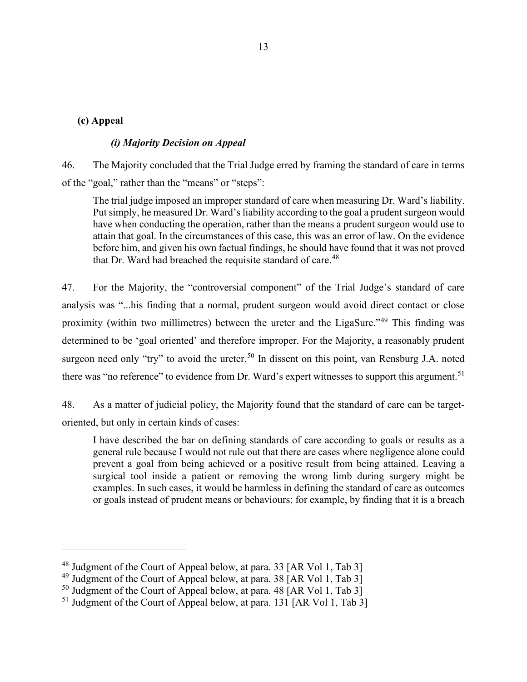#### **(c) Appeal**

#### *(i) Majority Decision on Appeal*

46. The Majority concluded that the Trial Judge erred by framing the standard of care in terms of the "goal," rather than the "means" or "steps":

The trial judge imposed an improper standard of care when measuring Dr. Ward's liability. Put simply, he measured Dr. Ward's liability according to the goal a prudent surgeon would have when conducting the operation, rather than the means a prudent surgeon would use to attain that goal. In the circumstances of this case, this was an error of law. On the evidence before him, and given his own factual findings, he should have found that it was not proved that Dr. Ward had breached the requisite standard of care.<sup>[48](#page-16-0)</sup>

47. For the Majority, the "controversial component" of the Trial Judge's standard of care analysis was "...his finding that a normal, prudent surgeon would avoid direct contact or close proximity (within two millimetres) between the ureter and the LigaSure."[49](#page-16-1) This finding was determined to be 'goal oriented' and therefore improper. For the Majority, a reasonably prudent surgeon need only "try" to avoid the ureter.<sup>[50](#page-16-2)</sup> In dissent on this point, van Rensburg J.A. noted there was "no reference" to evidence from Dr. Ward's expert witnesses to support this argument.<sup>[51](#page-16-3)</sup>

48. As a matter of judicial policy, the Majority found that the standard of care can be targetoriented, but only in certain kinds of cases:

I have described the bar on defining standards of care according to goals or results as a general rule because I would not rule out that there are cases where negligence alone could prevent a goal from being achieved or a positive result from being attained. Leaving a surgical tool inside a patient or removing the wrong limb during surgery might be examples. In such cases, it would be harmless in defining the standard of care as outcomes or goals instead of prudent means or behaviours; for example, by finding that it is a breach

<span id="page-16-0"></span><sup>48</sup> Judgment of the Court of Appeal below, at para. 33 [AR Vol 1, Tab 3]

<span id="page-16-1"></span><sup>&</sup>lt;sup>49</sup> Judgment of the Court of Appeal below, at para. 38  $AR$  Vol 1, Tab 3

<span id="page-16-2"></span><sup>&</sup>lt;sup>50</sup> Judgment of the Court of Appeal below, at para. 48 [AR Vol 1, Tab 3]

<span id="page-16-3"></span><sup>&</sup>lt;sup>51</sup> Judgment of the Court of Appeal below, at para. 131 [AR Vol 1, Tab 3]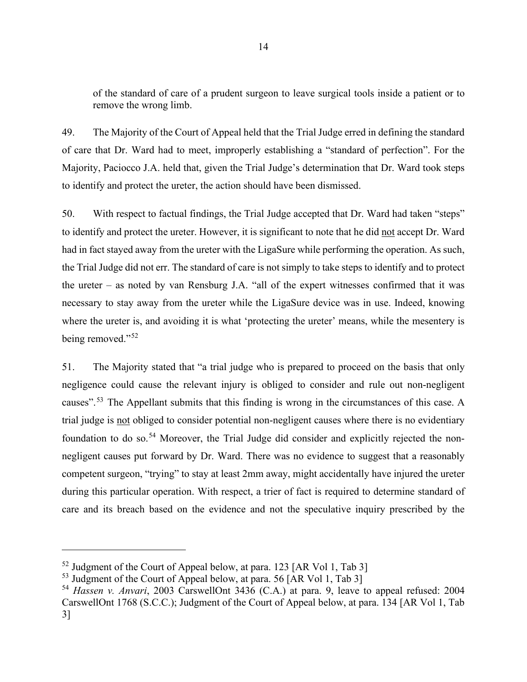of the standard of care of a prudent surgeon to leave surgical tools inside a patient or to remove the wrong limb.

49. The Majority of the Court of Appeal held that the Trial Judge erred in defining the standard of care that Dr. Ward had to meet, improperly establishing a "standard of perfection". For the Majority, Paciocco J.A. held that, given the Trial Judge's determination that Dr. Ward took steps to identify and protect the ureter, the action should have been dismissed.

50. With respect to factual findings, the Trial Judge accepted that Dr. Ward had taken "steps" to identify and protect the ureter. However, it is significant to note that he did not accept Dr. Ward had in fact stayed away from the ureter with the LigaSure while performing the operation. As such, the Trial Judge did not err. The standard of care is not simply to take steps to identify and to protect the ureter – as noted by van Rensburg J.A. "all of the expert witnesses confirmed that it was necessary to stay away from the ureter while the LigaSure device was in use. Indeed, knowing where the ureter is, and avoiding it is what 'protecting the ureter' means, while the mesentery is being removed."<sup>[52](#page-17-0)</sup>

51. The Majority stated that "a trial judge who is prepared to proceed on the basis that only negligence could cause the relevant injury is obliged to consider and rule out non-negligent causes".[53](#page-17-1) The Appellant submits that this finding is wrong in the circumstances of this case. A trial judge is not obliged to consider potential non-negligent causes where there is no evidentiary foundation to do so.<sup>[54](#page-17-2)</sup> Moreover, the Trial Judge did consider and explicitly rejected the nonnegligent causes put forward by Dr. Ward. There was no evidence to suggest that a reasonably competent surgeon, "trying" to stay at least 2mm away, might accidentally have injured the ureter during this particular operation. With respect, a trier of fact is required to determine standard of care and its breach based on the evidence and not the speculative inquiry prescribed by the

<span id="page-17-0"></span><sup>&</sup>lt;sup>52</sup> Judgment of the Court of Appeal below, at para. 123 [AR Vol 1, Tab 3] Judgment of the Court of Appeal below, at para. 56 [AR Vol 1, Tab 3]

<span id="page-17-1"></span>

<span id="page-17-2"></span><sup>&</sup>lt;sup>54</sup> Hassen v. Anvari, 2003 CarswellOnt 3436 (C.A.) at para. 9, leave to appeal refused: 2004 CarswellOnt 1768 (S.C.C.); Judgment of the Court of Appeal below, at para. 134 [AR Vol 1, Tab 3]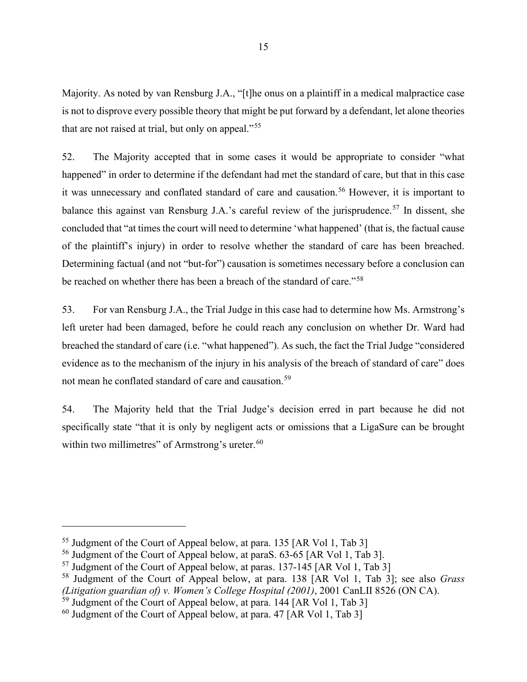Majority. As noted by van Rensburg J.A., "[t]he onus on a plaintiff in a medical malpractice case is not to disprove every possible theory that might be put forward by a defendant, let alone theories that are not raised at trial, but only on appeal."[55](#page-18-0)

52. The Majority accepted that in some cases it would be appropriate to consider "what happened" in order to determine if the defendant had met the standard of care, but that in this case it was unnecessary and conflated standard of care and causation. [56](#page-18-1) However, it is important to balance this against van Rensburg J.A.'s careful review of the jurisprudence.<sup>[57](#page-18-2)</sup> In dissent, she concluded that "at times the court will need to determine 'what happened' (that is, the factual cause of the plaintiff's injury) in order to resolve whether the standard of care has been breached. Determining factual (and not "but-for") causation is sometimes necessary before a conclusion can be reached on whether there has been a breach of the standard of care."[58](#page-18-3)

53. For van Rensburg J.A., the Trial Judge in this case had to determine how Ms. Armstrong's left ureter had been damaged, before he could reach any conclusion on whether Dr. Ward had breached the standard of care (i.e. "what happened"). As such, the fact the Trial Judge "considered evidence as to the mechanism of the injury in his analysis of the breach of standard of care" does not mean he conflated standard of care and causation.<sup>[59](#page-18-4)</sup>

54. The Majority held that the Trial Judge's decision erred in part because he did not specifically state "that it is only by negligent acts or omissions that a LigaSure can be brought within two millimetres" of Armstrong's ureter.<sup>[60](#page-18-5)</sup>

<span id="page-18-0"></span><sup>55</sup> Judgment of the Court of Appeal below, at para. 135 [AR Vol 1, Tab 3]

<span id="page-18-1"></span><sup>56</sup> Judgment of the Court of Appeal below, at paraS. 63-65 [AR Vol 1, Tab 3].

<span id="page-18-2"></span><sup>&</sup>lt;sup>57</sup> Judgment of the Court of Appeal below, at paras. 137-145 [AR Vol 1, Tab 3]

<span id="page-18-3"></span><sup>58</sup> Judgment of the Court of Appeal below, at para. 138 [AR Vol 1, Tab 3]; see also *Grass (Litigation guardian of) v. Women's College Hospital (2001)*, 2001 CanLII 8526 (ON CA).

<span id="page-18-4"></span><sup>&</sup>lt;sup>59</sup> Judgment of the Court of Appeal below, at para. 144 [AR Vol 1, Tab 3]

<span id="page-18-5"></span> $^{60}$  Judgment of the Court of Appeal below, at para. 47 [AR Vol 1, Tab 3]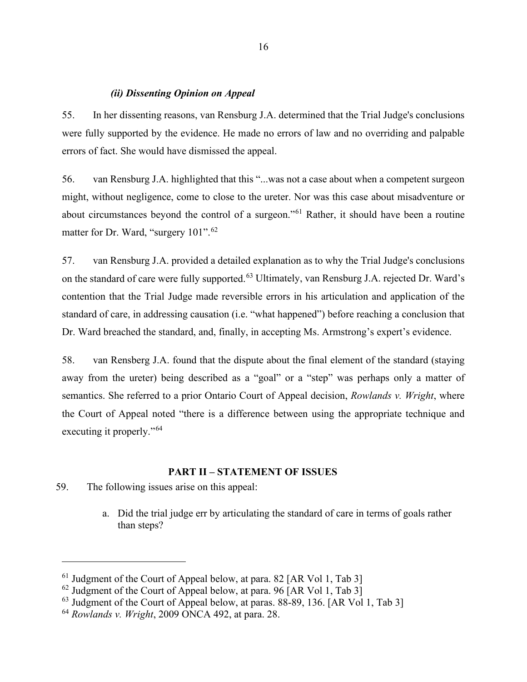#### *(ii) Dissenting Opinion on Appeal*

55. In her dissenting reasons, van Rensburg J.A. determined that the Trial Judge's conclusions were fully supported by the evidence. He made no errors of law and no overriding and palpable errors of fact. She would have dismissed the appeal.

56. van Rensburg J.A. highlighted that this "...was not a case about when a competent surgeon might, without negligence, come to close to the ureter. Nor was this case about misadventure or about circumstances beyond the control of a surgeon."[61](#page-19-0) Rather, it should have been a routine matter for Dr. Ward, "surgery 101".<sup>[62](#page-19-1)</sup>

57. van Rensburg J.A. provided a detailed explanation as to why the Trial Judge's conclusions on the standard of care were fully supported.<sup>[63](#page-19-2)</sup> Ultimately, van Rensburg J.A. rejected Dr. Ward's contention that the Trial Judge made reversible errors in his articulation and application of the standard of care, in addressing causation (i.e. "what happened") before reaching a conclusion that Dr. Ward breached the standard, and, finally, in accepting Ms. Armstrong's expert's evidence.

58. van Rensberg J.A. found that the dispute about the final element of the standard (staying away from the ureter) being described as a "goal" or a "step" was perhaps only a matter of semantics. She referred to a prior Ontario Court of Appeal decision, *Rowlands v. Wright*, where the Court of Appeal noted "there is a difference between using the appropriate technique and executing it properly."<sup>[64](#page-19-3)</sup>

#### **PART II – STATEMENT OF ISSUES**

- 59. The following issues arise on this appeal:
	- a. Did the trial judge err by articulating the standard of care in terms of goals rather than steps?

<span id="page-19-0"></span> $61$  Judgment of the Court of Appeal below, at para. 82 [AR Vol 1, Tab 3]

<span id="page-19-1"></span> $62$  Judgment of the Court of Appeal below, at para. 96 [AR Vol 1, Tab 3]

<span id="page-19-2"></span> $63$  Judgment of the Court of Appeal below, at paras. 88-89, 136. [AR Vol 1, Tab 3]

<span id="page-19-3"></span><sup>64</sup> *Rowlands v. Wright*, 2009 ONCA 492, at para. 28.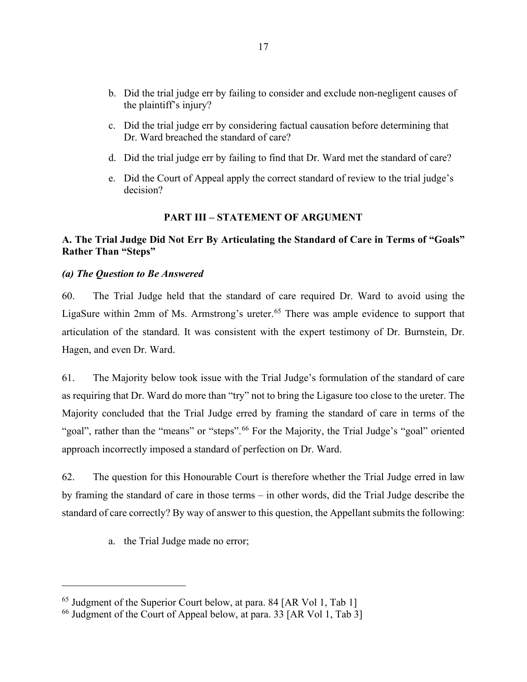- b. Did the trial judge err by failing to consider and exclude non-negligent causes of the plaintiff's injury?
- c. Did the trial judge err by considering factual causation before determining that Dr. Ward breached the standard of care?
- d. Did the trial judge err by failing to find that Dr. Ward met the standard of care?
- e. Did the Court of Appeal apply the correct standard of review to the trial judge's decision?

#### **PART III – STATEMENT OF ARGUMENT**

#### **A. The Trial Judge Did Not Err By Articulating the Standard of Care in Terms of "Goals" Rather Than "Steps"**

#### *(a) The Question to Be Answered*

60. The Trial Judge held that the standard of care required Dr. Ward to avoid using the LigaSure within 2mm of Ms. Armstrong's ureter.<sup>65</sup> There was ample evidence to support that articulation of the standard. It was consistent with the expert testimony of Dr. Burnstein, Dr. Hagen, and even Dr. Ward.

61. The Majority below took issue with the Trial Judge's formulation of the standard of care as requiring that Dr. Ward do more than "try" not to bring the Ligasure too close to the ureter. The Majority concluded that the Trial Judge erred by framing the standard of care in terms of the "goal", rather than the "means" or "steps".<sup>[66](#page-20-1)</sup> For the Majority, the Trial Judge's "goal" oriented approach incorrectly imposed a standard of perfection on Dr. Ward.

62. The question for this Honourable Court is therefore whether the Trial Judge erred in law by framing the standard of care in those terms – in other words, did the Trial Judge describe the standard of care correctly? By way of answer to this question, the Appellant submits the following:

a. the Trial Judge made no error;

<span id="page-20-0"></span><sup>&</sup>lt;sup>65</sup> Judgment of the Superior Court below, at para. 84 [AR Vol 1, Tab 1]

<span id="page-20-1"></span><sup>&</sup>lt;sup>66</sup> Judgment of the Court of Appeal below, at para. 33 [AR Vol 1, Tab 3]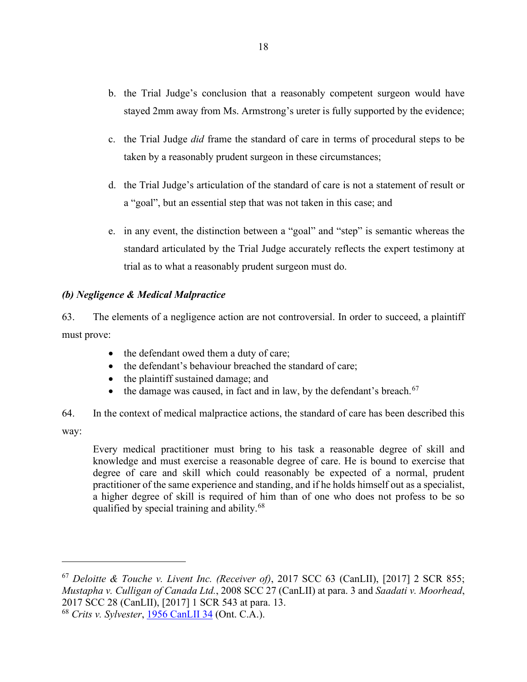- b. the Trial Judge's conclusion that a reasonably competent surgeon would have stayed 2mm away from Ms. Armstrong's ureter is fully supported by the evidence;
- c. the Trial Judge *did* frame the standard of care in terms of procedural steps to be taken by a reasonably prudent surgeon in these circumstances;
- d. the Trial Judge's articulation of the standard of care is not a statement of result or a "goal", but an essential step that was not taken in this case; and
- e. in any event, the distinction between a "goal" and "step" is semantic whereas the standard articulated by the Trial Judge accurately reflects the expert testimony at trial as to what a reasonably prudent surgeon must do.

### *(b) Negligence & Medical Malpractice*

63. The elements of a negligence action are not controversial. In order to succeed, a plaintiff must prove:

- the defendant owed them a duty of care;
- the defendant's behaviour breached the standard of care;
- the plaintiff sustained damage; and
- the damage was caused, in fact and in law, by the defendant's breach.<sup>[67](#page-21-0)</sup>

64. In the context of medical malpractice actions, the standard of care has been described this

way:

Every medical practitioner must bring to his task a reasonable degree of skill and knowledge and must exercise a reasonable degree of care. He is bound to exercise that degree of care and skill which could reasonably be expected of a normal, prudent practitioner of the same experience and standing, and if he holds himself out as a specialist, a higher degree of skill is required of him than of one who does not profess to be so qualified by special training and ability.<sup>[68](#page-21-1)</sup>

<span id="page-21-1"></span><sup>68</sup> *Crits v. Sylvester*, [1956 CanLII 34](http://canlii.ca/t/1vjmk) (Ont. C.A.).

<span id="page-21-0"></span><sup>67</sup> *Deloitte & Touche v. Livent Inc. (Receiver of)*, 2017 SCC 63 (CanLII), [2017] 2 SCR 855; *Mustapha v. Culligan of Canada Ltd.*, 2008 SCC 27 (CanLII) at para. 3 and *Saadati v. Moorhead*, 2017 SCC 28 (CanLII), [2017] 1 SCR 543 at para. 13.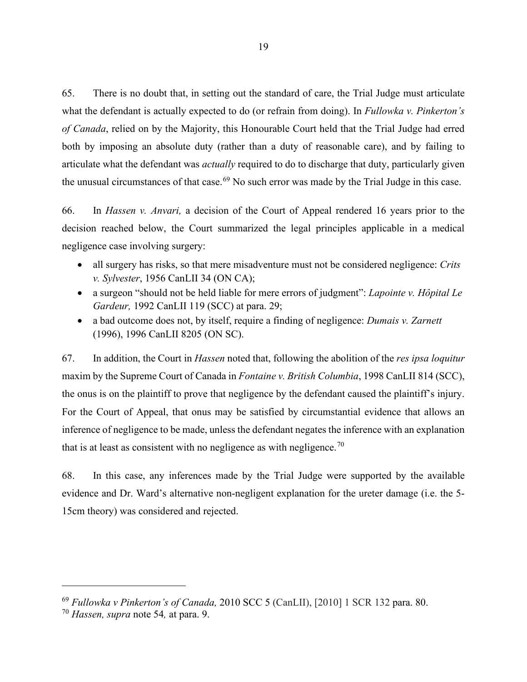65. There is no doubt that, in setting out the standard of care, the Trial Judge must articulate what the defendant is actually expected to do (or refrain from doing). In *Fullowka v. Pinkerton's of Canada*, relied on by the Majority, this Honourable Court held that the Trial Judge had erred both by imposing an absolute duty (rather than a duty of reasonable care), and by failing to articulate what the defendant was *actually* required to do to discharge that duty, particularly given the unusual circumstances of that case.<sup>[69](#page-22-0)</sup> No such error was made by the Trial Judge in this case.

66. In *Hassen v. Anvari,* a decision of the Court of Appeal rendered 16 years prior to the decision reached below, the Court summarized the legal principles applicable in a medical negligence case involving surgery:

- all surgery has risks, so that mere misadventure must not be considered negligence: *Crits v. Sylvester*, 1956 CanLII 34 (ON CA);
- a surgeon "should not be held liable for mere errors of judgment": *Lapointe v. Hôpital Le Gardeur,* 1992 CanLII 119 (SCC) at para. 29;
- a bad outcome does not, by itself, require a finding of negligence: *Dumais v. Zarnett* (1996), 1996 CanLII 8205 (ON SC).

67. In addition, the Court in *Hassen* noted that, following the abolition of the *res ipsa loquitur* maxim by the Supreme Court of Canada in *Fontaine v. British Columbia*, 1998 CanLII 814 (SCC), the onus is on the plaintiff to prove that negligence by the defendant caused the plaintiff's injury. For the Court of Appeal, that onus may be satisfied by circumstantial evidence that allows an inference of negligence to be made, unless the defendant negates the inference with an explanation that is at least as consistent with no negligence as with negligence.<sup>[70](#page-22-1)</sup>

68. In this case, any inferences made by the Trial Judge were supported by the available evidence and Dr. Ward's alternative non-negligent explanation for the ureter damage (i.e. the 5- 15cm theory) was considered and rejected.

<span id="page-22-0"></span><sup>69</sup> *Fullowka v Pinkerton's of Canada,* 2010 SCC 5 (CanLII), [2010] 1 SCR 132 para. 80.

<span id="page-22-1"></span><sup>70</sup> *Hassen, supra* note 54*,* at para. 9.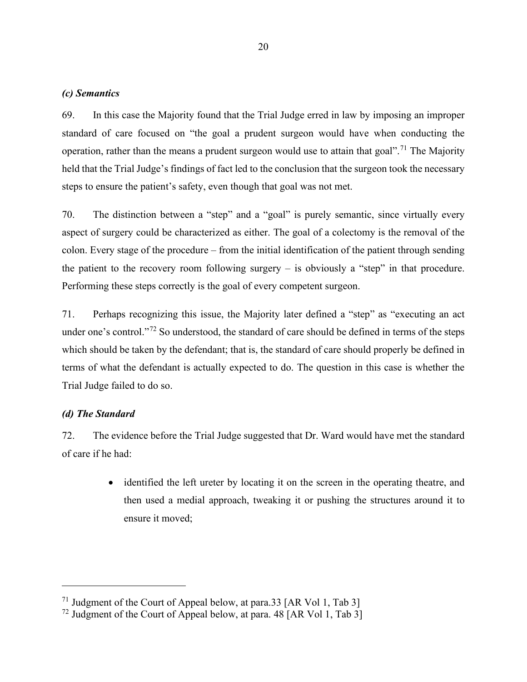#### *(c) Semantics*

69. In this case the Majority found that the Trial Judge erred in law by imposing an improper standard of care focused on "the goal a prudent surgeon would have when conducting the operation, rather than the means a prudent surgeon would use to attain that goal".<sup>[71](#page-23-0)</sup> The Majority held that the Trial Judge's findings of fact led to the conclusion that the surgeon took the necessary steps to ensure the patient's safety, even though that goal was not met.

70. The distinction between a "step" and a "goal" is purely semantic, since virtually every aspect of surgery could be characterized as either. The goal of a colectomy is the removal of the colon. Every stage of the procedure – from the initial identification of the patient through sending the patient to the recovery room following surgery  $-$  is obviously a "step" in that procedure. Performing these steps correctly is the goal of every competent surgeon.

71. Perhaps recognizing this issue, the Majority later defined a "step" as "executing an act under one's control."<sup>[72](#page-23-1)</sup> So understood, the standard of care should be defined in terms of the steps which should be taken by the defendant; that is, the standard of care should properly be defined in terms of what the defendant is actually expected to do. The question in this case is whether the Trial Judge failed to do so.

#### *(d) The Standard*

72. The evidence before the Trial Judge suggested that Dr. Ward would have met the standard of care if he had:

> • identified the left ureter by locating it on the screen in the operating theatre, and then used a medial approach, tweaking it or pushing the structures around it to ensure it moved;

<span id="page-23-0"></span><sup>&</sup>lt;sup>71</sup> Judgment of the Court of Appeal below, at para.33 [AR Vol 1, Tab 3]

<span id="page-23-1"></span><sup>&</sup>lt;sup>72</sup> Judgment of the Court of Appeal below, at para.  $48$  [AR Vol 1, Tab 3]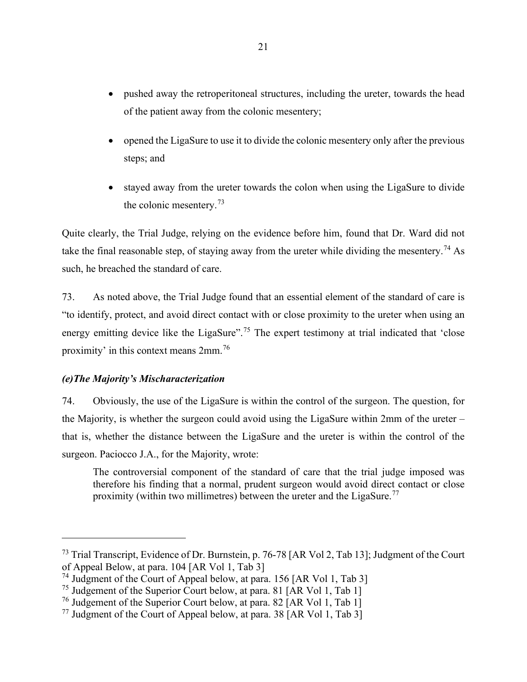- pushed away the retroperitoneal structures, including the ureter, towards the head of the patient away from the colonic mesentery;
- opened the LigaSure to use it to divide the colonic mesentery only after the previous steps; and
- stayed away from the ureter towards the colon when using the LigaSure to divide the colonic mesentery.<sup>[73](#page-24-0)</sup>

Quite clearly, the Trial Judge, relying on the evidence before him, found that Dr. Ward did not take the final reasonable step, of staying away from the ureter while dividing the mesentery.<sup>[74](#page-24-1)</sup> As such, he breached the standard of care.

73. As noted above, the Trial Judge found that an essential element of the standard of care is "to identify, protect, and avoid direct contact with or close proximity to the ureter when using an energy emitting device like the LigaSure".<sup>[75](#page-24-2)</sup> The expert testimony at trial indicated that 'close proximity' in this context means 2mm.<sup>[76](#page-24-3)</sup>

## *(e)The Majority's Mischaracterization*

74. Obviously, the use of the LigaSure is within the control of the surgeon. The question, for the Majority, is whether the surgeon could avoid using the LigaSure within 2mm of the ureter – that is, whether the distance between the LigaSure and the ureter is within the control of the surgeon. Paciocco J.A., for the Majority, wrote:

The controversial component of the standard of care that the trial judge imposed was therefore his finding that a normal, prudent surgeon would avoid direct contact or close proximity (within two millimetres) between the ureter and the LigaSure.<sup>[77](#page-24-4)</sup>

<span id="page-24-0"></span><sup>73</sup> Trial Transcript, Evidence of Dr. Burnstein, p. 76-78 [AR Vol 2, Tab 13]; Judgment of the Court of Appeal Below, at para. 104 [AR Vol 1, Tab 3]

<span id="page-24-1"></span><sup>&</sup>lt;sup>74</sup> Judgment of the Court of Appeal below, at para. 156 [AR Vol 1, Tab 3]

<span id="page-24-2"></span><sup>&</sup>lt;sup>75</sup> Judgement of the Superior Court below, at para. 81 [AR Vol 1, Tab 1]

<span id="page-24-3"></span><sup>&</sup>lt;sup>76</sup> Judgement of the Superior Court below, at para. 82 [AR Vol 1, Tab 1]

<span id="page-24-4"></span><sup>&</sup>lt;sup>77</sup> Judgment of the Court of Appeal below, at para. 38 [AR Vol 1, Tab 3]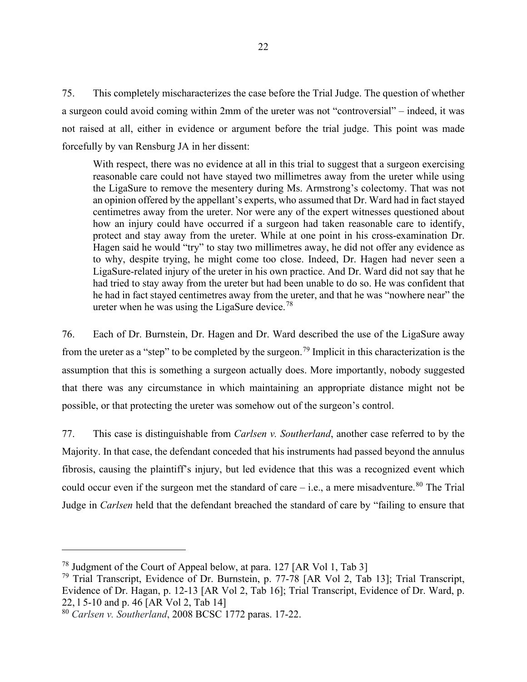75. This completely mischaracterizes the case before the Trial Judge. The question of whether a surgeon could avoid coming within 2mm of the ureter was not "controversial" – indeed, it was not raised at all, either in evidence or argument before the trial judge. This point was made forcefully by van Rensburg JA in her dissent:

With respect, there was no evidence at all in this trial to suggest that a surgeon exercising reasonable care could not have stayed two millimetres away from the ureter while using the LigaSure to remove the mesentery during Ms. Armstrong's colectomy. That was not an opinion offered by the appellant's experts, who assumed that Dr. Ward had in fact stayed centimetres away from the ureter. Nor were any of the expert witnesses questioned about how an injury could have occurred if a surgeon had taken reasonable care to identify, protect and stay away from the ureter. While at one point in his cross-examination Dr. Hagen said he would "try" to stay two millimetres away, he did not offer any evidence as to why, despite trying, he might come too close. Indeed, Dr. Hagen had never seen a LigaSure-related injury of the ureter in his own practice. And Dr. Ward did not say that he had tried to stay away from the ureter but had been unable to do so. He was confident that he had in fact stayed centimetres away from the ureter, and that he was "nowhere near" the ureter when he was using the LigaSure device.<sup>[78](#page-25-0)</sup>

76. Each of Dr. Burnstein, Dr. Hagen and Dr. Ward described the use of the LigaSure away from the ureter as a "step" to be completed by the surgeon.<sup>[79](#page-25-1)</sup> Implicit in this characterization is the assumption that this is something a surgeon actually does. More importantly, nobody suggested that there was any circumstance in which maintaining an appropriate distance might not be possible, or that protecting the ureter was somehow out of the surgeon's control.

77. This case is distinguishable from *Carlsen v. Southerland*, another case referred to by the Majority. In that case, the defendant conceded that his instruments had passed beyond the annulus fibrosis, causing the plaintiff's injury, but led evidence that this was a recognized event which could occur even if the surgeon met the standard of care  $-$  i.e., a mere misadventure.<sup>[80](#page-25-2)</sup> The Trial Judge in *Carlsen* held that the defendant breached the standard of care by "failing to ensure that

<span id="page-25-0"></span><sup>78</sup> Judgment of the Court of Appeal below, at para. 127 [AR Vol 1, Tab 3]

<span id="page-25-1"></span><sup>&</sup>lt;sup>79</sup> Trial Transcript, Evidence of Dr. Burnstein, p. 77-78 [AR Vol 2, Tab 13]; Trial Transcript, Evidence of Dr. Hagan, p. 12-13 [AR Vol 2, Tab 16]; Trial Transcript, Evidence of Dr. Ward, p. 22, l 5-10 and p. 46 [AR Vol 2, Tab 14]

<span id="page-25-2"></span><sup>80</sup> *Carlsen v. Southerland*, 2008 BCSC 1772 paras. 17-22.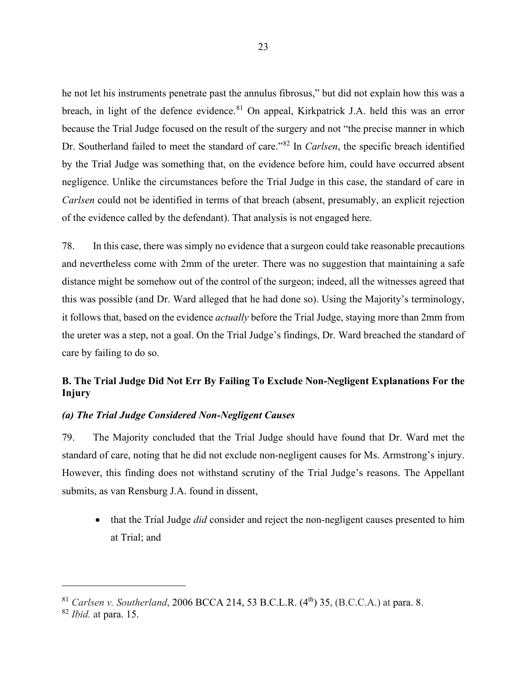he not let his instruments penetrate past the annulus fibrosus," but did not explain how this was a breach, in light of the defence evidence.<sup>[81](#page-26-0)</sup> On appeal, Kirkpatrick J.A. held this was an error because the Trial Judge focused on the result of the surgery and not "the precise manner in which Dr. Southerland failed to meet the standard of care."[82](#page-26-1) In *Carlsen*, the specific breach identified by the Trial Judge was something that, on the evidence before him, could have occurred absent negligence. Unlike the circumstances before the Trial Judge in this case, the standard of care in *Carlsen* could not be identified in terms of that breach (absent, presumably, an explicit rejection of the evidence called by the defendant). That analysis is not engaged here.

78. In this case, there was simply no evidence that a surgeon could take reasonable precautions and nevertheless come with 2mm of the ureter. There was no suggestion that maintaining a safe distance might be somehow out of the control of the surgeon; indeed, all the witnesses agreed that this was possible (and Dr. Ward alleged that he had done so). Using the Majority's terminology, it follows that, based on the evidence *actually* before the Trial Judge, staying more than 2mm from the ureter was a step, not a goal. On the Trial Judge's findings, Dr. Ward breached the standard of care by failing to do so.

## **B. The Trial Judge Did Not Err By Failing To Exclude Non-Negligent Explanations For the Injury**

#### *(a) The Trial Judge Considered Non-Negligent Causes*

79. The Majority concluded that the Trial Judge should have found that Dr. Ward met the standard of care, noting that he did not exclude non-negligent causes for Ms. Armstrong's injury. However, this finding does not withstand scrutiny of the Trial Judge's reasons. The Appellant submits, as van Rensburg J.A. found in dissent,

• that the Trial Judge *did* consider and reject the non-negligent causes presented to him at Trial; and

<span id="page-26-0"></span><sup>&</sup>lt;sup>81</sup> *Carlsen v. Southerland*, 2006 BCCA 214, 53 B.C.L.R. (4<sup>th</sup>) 35, (B.C.C.A.) at para. 8.

<span id="page-26-1"></span><sup>82</sup> *Ibid.* at para. 15.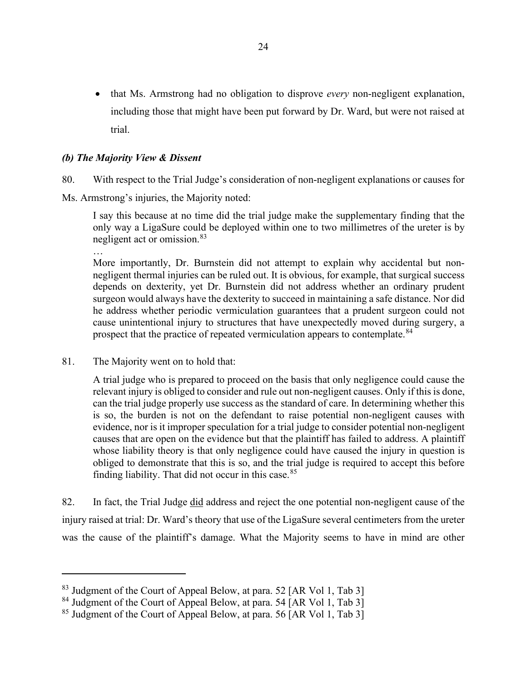• that Ms. Armstrong had no obligation to disprove *every* non-negligent explanation, including those that might have been put forward by Dr. Ward, but were not raised at trial.

#### *(b) The Majority View & Dissent*

80. With respect to the Trial Judge's consideration of non-negligent explanations or causes for

Ms. Armstrong's injuries, the Majority noted:

I say this because at no time did the trial judge make the supplementary finding that the only way a LigaSure could be deployed within one to two millimetres of the ureter is by negligent act or omission.<sup>[83](#page-27-0)</sup>

… More importantly, Dr. Burnstein did not attempt to explain why accidental but nonnegligent thermal injuries can be ruled out. It is obvious, for example, that surgical success depends on dexterity, yet Dr. Burnstein did not address whether an ordinary prudent surgeon would always have the dexterity to succeed in maintaining a safe distance. Nor did he address whether periodic vermiculation guarantees that a prudent surgeon could not cause unintentional injury to structures that have unexpectedly moved during surgery, a prospect that the practice of repeated vermiculation appears to contemplate.<sup>[84](#page-27-1)</sup>

81. The Majority went on to hold that:

A trial judge who is prepared to proceed on the basis that only negligence could cause the relevant injury is obliged to consider and rule out non-negligent causes. Only if this is done, can the trial judge properly use success as the standard of care. In determining whether this is so, the burden is not on the defendant to raise potential non-negligent causes with evidence, nor is it improper speculation for a trial judge to consider potential non-negligent causes that are open on the evidence but that the plaintiff has failed to address. A plaintiff whose liability theory is that only negligence could have caused the injury in question is obliged to demonstrate that this is so, and the trial judge is required to accept this before finding liability. That did not occur in this case.  $85$ 

82. In fact, the Trial Judge did address and reject the one potential non-negligent cause of the injury raised at trial: Dr. Ward's theory that use of the LigaSure several centimeters from the ureter was the cause of the plaintiff's damage. What the Majority seems to have in mind are other

<span id="page-27-0"></span><sup>&</sup>lt;sup>83</sup> Judgment of the Court of Appeal Below, at para. 52 [AR Vol 1, Tab 3]

<span id="page-27-1"></span><sup>&</sup>lt;sup>84</sup> Judgment of the Court of Appeal Below, at para. 54 [AR Vol 1, Tab 3]

<span id="page-27-2"></span><sup>&</sup>lt;sup>85</sup> Judgment of the Court of Appeal Below, at para. 56 [AR Vol 1, Tab 3]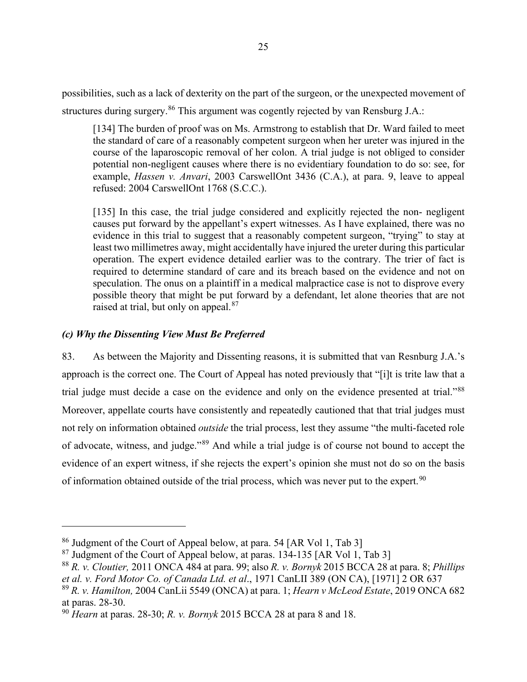possibilities, such as a lack of dexterity on the part of the surgeon, or the unexpected movement of structures during surgery.<sup>[86](#page-28-0)</sup> This argument was cogently rejected by van Rensburg J.A.:

[134] The burden of proof was on Ms. Armstrong to establish that Dr. Ward failed to meet the standard of care of a reasonably competent surgeon when her ureter was injured in the course of the laparoscopic removal of her colon. A trial judge is not obliged to consider potential non-negligent causes where there is no evidentiary foundation to do so: see, for example, *Hassen v. Anvari*, 2003 CarswellOnt 3436 (C.A.), at para. 9, leave to appeal refused: 2004 CarswellOnt 1768 (S.C.C.).

[135] In this case, the trial judge considered and explicitly rejected the non- negligent causes put forward by the appellant's expert witnesses. As I have explained, there was no evidence in this trial to suggest that a reasonably competent surgeon, "trying" to stay at least two millimetres away, might accidentally have injured the ureter during this particular operation. The expert evidence detailed earlier was to the contrary. The trier of fact is required to determine standard of care and its breach based on the evidence and not on speculation. The onus on a plaintiff in a medical malpractice case is not to disprove every possible theory that might be put forward by a defendant, let alone theories that are not raised at trial, but only on appeal.<sup>[87](#page-28-1)</sup>

#### *(c) Why the Dissenting View Must Be Preferred*

83. As between the Majority and Dissenting reasons, it is submitted that van Resnburg J.A.'s approach is the correct one. The Court of Appeal has noted previously that "[i]t is trite law that a trial judge must decide a case on the evidence and only on the evidence presented at trial."<sup>[88](#page-28-2)</sup> Moreover, appellate courts have consistently and repeatedly cautioned that that trial judges must not rely on information obtained *outside* the trial process, lest they assume "the multi-faceted role of advocate, witness, and judge."[89](#page-28-3) And while a trial judge is of course not bound to accept the evidence of an expert witness, if she rejects the expert's opinion she must not do so on the basis of information obtained outside of the trial process, which was never put to the expert.<sup>[90](#page-28-4)</sup>

<span id="page-28-0"></span><sup>86</sup> Judgment of the Court of Appeal below, at para. 54 [AR Vol 1, Tab 3]

<span id="page-28-1"></span> $87$  Judgment of the Court of Appeal below, at paras. 134-135 [AR Vol 1, Tab 3]

<span id="page-28-2"></span><sup>88</sup> *R. v. Cloutier,* 2011 ONCA 484 at para. 99; also *R. v. Bornyk* 2015 BCCA 28 at para. 8; *Phillips et al. v. Ford Motor Co. of Canada Ltd. et al*., [1971 CanLII 389](http://canlii.ca/t/g1h3g) (ON CA), [1971] 2 OR 637

<span id="page-28-3"></span><sup>89</sup> *R. v. Hamilton,* 2004 CanLii 5549 (ONCA) at para. 1; *Hearn v McLeod Estate*, 2019 ONCA 682 at paras. 28-30.

<span id="page-28-4"></span><sup>90</sup> *Hearn* at paras. 28-30; *R. v. Bornyk* 2015 BCCA 28 at para 8 and 18.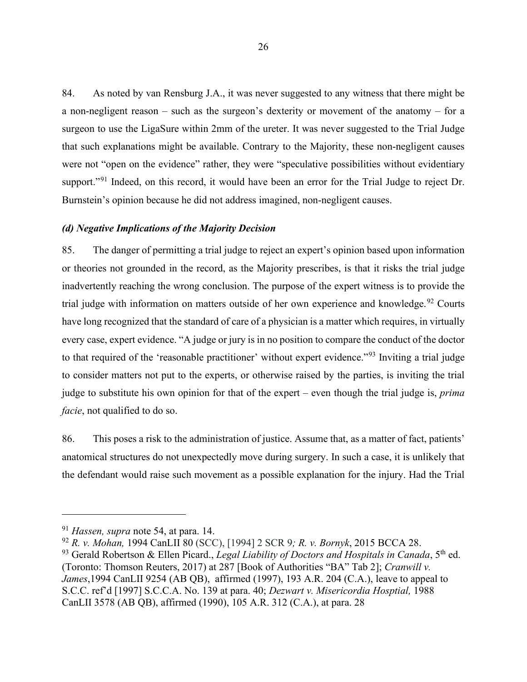84. As noted by van Rensburg J.A., it was never suggested to any witness that there might be a non-negligent reason – such as the surgeon's dexterity or movement of the anatomy – for a surgeon to use the LigaSure within 2mm of the ureter. It was never suggested to the Trial Judge that such explanations might be available. Contrary to the Majority, these non-negligent causes were not "open on the evidence" rather, they were "speculative possibilities without evidentiary support."<sup>[91](#page-29-0)</sup> Indeed, on this record, it would have been an error for the Trial Judge to reject Dr. Burnstein's opinion because he did not address imagined, non-negligent causes.

#### *(d) Negative Implications of the Majority Decision*

85. The danger of permitting a trial judge to reject an expert's opinion based upon information or theories not grounded in the record, as the Majority prescribes, is that it risks the trial judge inadvertently reaching the wrong conclusion. The purpose of the expert witness is to provide the trial judge with information on matters outside of her own experience and knowledge.<sup>[92](#page-29-1)</sup> Courts have long recognized that the standard of care of a physician is a matter which requires, in virtually every case, expert evidence. "A judge or jury is in no position to compare the conduct of the doctor to that required of the 'reasonable practitioner' without expert evidence."[93](#page-29-2) Inviting a trial judge to consider matters not put to the experts, or otherwise raised by the parties, is inviting the trial judge to substitute his own opinion for that of the expert – even though the trial judge is, *prima facie*, not qualified to do so.

86. This poses a risk to the administration of justice. Assume that, as a matter of fact, patients' anatomical structures do not unexpectedly move during surgery. In such a case, it is unlikely that the defendant would raise such movement as a possible explanation for the injury. Had the Trial

<span id="page-29-0"></span><sup>91</sup> *Hassen, supra* note 54, at para. 14.

<span id="page-29-1"></span><sup>92</sup> *R. v. Mohan,* 1994 CanLII 80 (SCC), [1994] 2 SCR 9*; R. v. Bornyk*, 2015 BCCA 28.

<span id="page-29-2"></span><sup>&</sup>lt;sup>93</sup> Gerald Robertson & Ellen Picard., *Legal Liability of Doctors and Hospitals in Canada*, 5<sup>th</sup> ed. (Toronto: Thomson Reuters, 2017) at 287 [Book of Authorities "BA" Tab 2]; *Cranwill v. James*,1994 CanLII 9254 (AB QB), affirmed (1997), 193 A.R. 204 (C.A.), leave to appeal to S.C.C. ref'd [1997] S.C.C.A. No. 139 at para. 40; *Dezwart v. Misericordia Hosptial,* 1988 CanLII 3578 (AB QB), affirmed (1990), 105 A.R. 312 (C.A.), at para. 28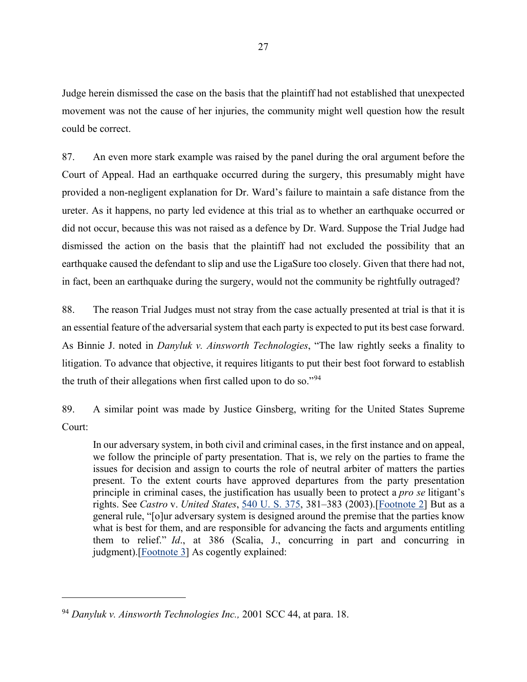Judge herein dismissed the case on the basis that the plaintiff had not established that unexpected movement was not the cause of her injuries, the community might well question how the result could be correct.

87. An even more stark example was raised by the panel during the oral argument before the Court of Appeal. Had an earthquake occurred during the surgery, this presumably might have provided a non-negligent explanation for Dr. Ward's failure to maintain a safe distance from the ureter. As it happens, no party led evidence at this trial as to whether an earthquake occurred or did not occur, because this was not raised as a defence by Dr. Ward. Suppose the Trial Judge had dismissed the action on the basis that the plaintiff had not excluded the possibility that an earthquake caused the defendant to slip and use the LigaSure too closely. Given that there had not, in fact, been an earthquake during the surgery, would not the community be rightfully outraged?

88. The reason Trial Judges must not stray from the case actually presented at trial is that it is an essential feature of the adversarial system that each party is expected to put its best case forward. As Binnie J. noted in *Danyluk v. Ainsworth Technologies*, "The law rightly seeks a finality to litigation. To advance that objective, it requires litigants to put their best foot forward to establish the truth of their allegations when first called upon to do so."[94](#page-30-0)

89. A similar point was made by Justice Ginsberg, writing for the United States Supreme Court:

In our adversary system, in both civil and criminal cases, in the first instance and on appeal, we follow the principle of party presentation. That is, we rely on the parties to frame the issues for decision and assign to courts the role of neutral arbiter of matters the parties present. To the extent courts have approved departures from the party presentation principle in criminal cases, the justification has usually been to protect a *pro se* litigant's rights. See *Castro* v. *United States*, [540 U. S. 375,](https://supreme.justia.com/cases/federal/us/540/375/index.html) 381–383 (2003).[\[Footnote 2\]](https://supreme.justia.com/cases/federal/us/554/237/#F2) But as a general rule, "[o]ur adversary system is designed around the premise that the parties know what is best for them, and are responsible for advancing the facts and arguments entitling them to relief." *Id*., at 386 (Scalia, J., concurring in part and concurring in judgment).[\[Footnote 3\]](https://supreme.justia.com/cases/federal/us/554/237/#F3) As cogently explained:

<span id="page-30-0"></span><sup>94</sup> *Danyluk v. Ainsworth Technologies Inc.,* 2001 SCC 44, at para. 18.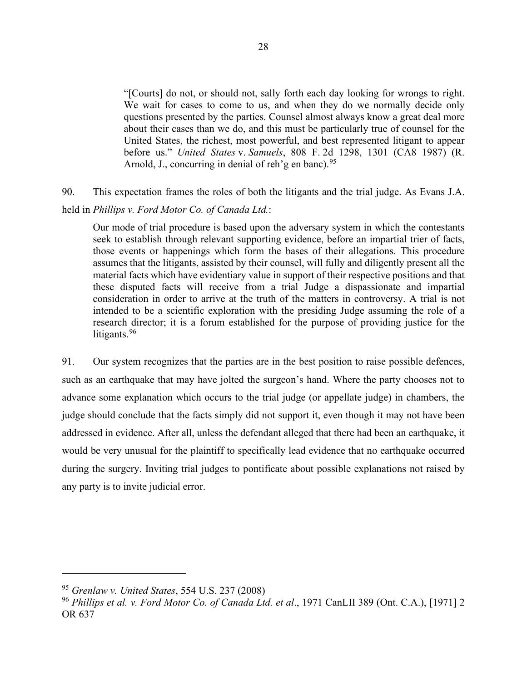"[Courts] do not, or should not, sally forth each day looking for wrongs to right. We wait for cases to come to us, and when they do we normally decide only questions presented by the parties. Counsel almost always know a great deal more about their cases than we do, and this must be particularly true of counsel for the United States, the richest, most powerful, and best represented litigant to appear before us." *United States* v. *Samuels*, 808 F. 2d 1298, 1301 (CA8 1987) (R. Arnold, J., concurring in denial of reh'g en banc).  $95$ 

90. This expectation frames the roles of both the litigants and the trial judge. As Evans J.A.

#### held in *Phillips v. Ford Motor Co. of Canada Ltd.*:

Our mode of trial procedure is based upon the adversary system in which the contestants seek to establish through relevant supporting evidence, before an impartial trier of facts, those events or happenings which form the bases of their allegations. This procedure assumes that the litigants, assisted by their counsel, will fully and diligently present all the material facts which have evidentiary value in support of their respective positions and that these disputed facts will receive from a trial Judge a dispassionate and impartial consideration in order to arrive at the truth of the matters in controversy. A trial is not intended to be a scientific exploration with the presiding Judge assuming the role of a research director; it is a forum established for the purpose of providing justice for the litigants.<sup>[96](#page-31-1)</sup>

91. Our system recognizes that the parties are in the best position to raise possible defences, such as an earthquake that may have jolted the surgeon's hand. Where the party chooses not to advance some explanation which occurs to the trial judge (or appellate judge) in chambers, the judge should conclude that the facts simply did not support it, even though it may not have been addressed in evidence. After all, unless the defendant alleged that there had been an earthquake, it would be very unusual for the plaintiff to specifically lead evidence that no earthquake occurred during the surgery. Inviting trial judges to pontificate about possible explanations not raised by any party is to invite judicial error.

<span id="page-31-0"></span><sup>95</sup> *Grenlaw v. United States*, 554 U.S. 237 (2008)

<span id="page-31-1"></span><sup>96</sup> *Phillips et al. v. Ford Motor Co. of Canada Ltd. et al*., [1971 CanLII 389](http://canlii.ca/t/g1h3g) (Ont. C.A.), [1971] 2 OR 637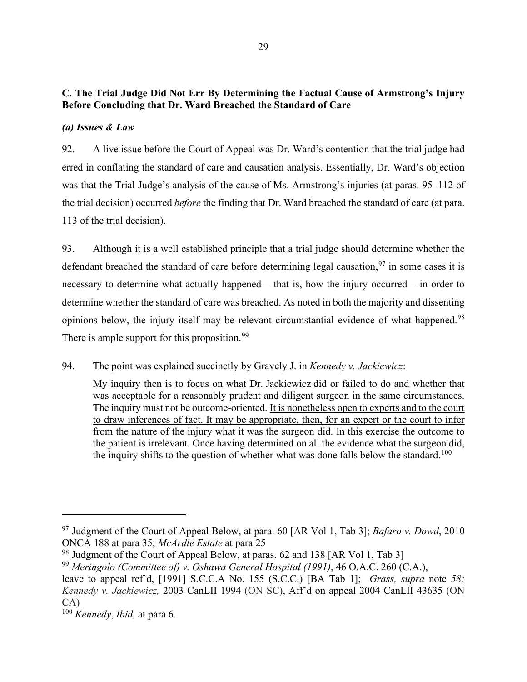## **C. The Trial Judge Did Not Err By Determining the Factual Cause of Armstrong's Injury Before Concluding that Dr. Ward Breached the Standard of Care**

## *(a) Issues & Law*

92. A live issue before the Court of Appeal was Dr. Ward's contention that the trial judge had erred in conflating the standard of care and causation analysis. Essentially, Dr. Ward's objection was that the Trial Judge's analysis of the cause of Ms. Armstrong's injuries (at paras. 95–112 of the trial decision) occurred *before* the finding that Dr. Ward breached the standard of care (at para. 113 of the trial decision).

93. Although it is a well established principle that a trial judge should determine whether the defendant breached the standard of care before determining legal causation,  $97$  in some cases it is necessary to determine what actually happened – that is, how the injury occurred – in order to determine whether the standard of care was breached. As noted in both the majority and dissenting opinions below, the injury itself may be relevant circumstantial evidence of what happened.<sup>[98](#page-32-1)</sup> There is ample support for this proposition.<sup>[99](#page-32-2)</sup>

94. The point was explained succinctly by Gravely J. in *Kennedy v. Jackiewicz*:

My inquiry then is to focus on what Dr. Jackiewicz did or failed to do and whether that was acceptable for a reasonably prudent and diligent surgeon in the same circumstances. The inquiry must not be outcome-oriented. It is nonetheless open to experts and to the court to draw inferences of fact. It may be appropriate, then, for an expert or the court to infer from the nature of the injury what it was the surgeon did. In this exercise the outcome to the patient is irrelevant. Once having determined on all the evidence what the surgeon did, the inquiry shifts to the question of whether what was done falls below the standard.<sup>[100](#page-32-3)</sup>

<span id="page-32-0"></span><sup>97</sup> Judgment of the Court of Appeal Below, at para. 60 [AR Vol 1, Tab 3]; *Bafaro v. Dowd*, 2010 ONCA 188 at para 35; *McArdle Estate* at para 25

<span id="page-32-1"></span><sup>&</sup>lt;sup>98</sup> Judgment of the Court of Appeal Below, at paras. 62 and 138 [AR Vol 1, Tab 3]

<span id="page-32-2"></span><sup>99</sup> *Meringolo (Committee of) v. Oshawa General Hospital (1991)*, 46 O.A.C. 260 (C.A.),

leave to appeal ref'd, [1991] S.C.C.A No. 155 (S.C.C.) [BA Tab 1]; *Grass, supra* note *58; Kennedy v. Jackiewicz,* 2003 CanLII 1994 (ON SC), Aff'd on appeal 2004 CanLII 43635 (ON CA)

<span id="page-32-3"></span><sup>100</sup> *Kennedy*, *Ibid,* at para 6.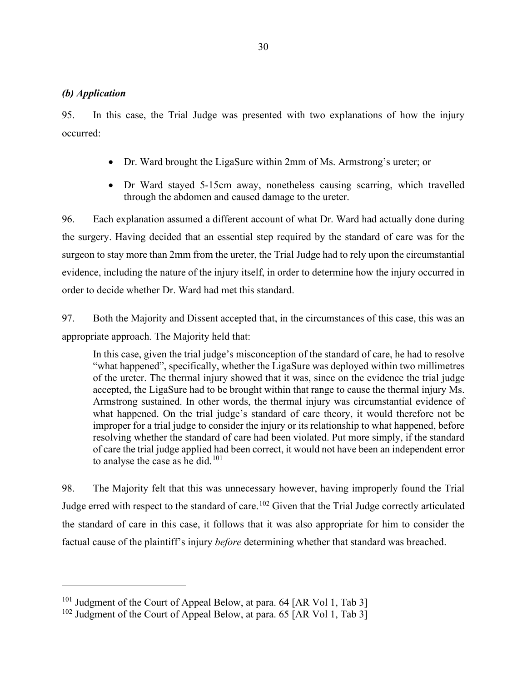#### *(b) Application*

95. In this case, the Trial Judge was presented with two explanations of how the injury occurred:

- Dr. Ward brought the LigaSure within 2mm of Ms. Armstrong's ureter; or
- Dr Ward stayed 5-15cm away, nonetheless causing scarring, which travelled through the abdomen and caused damage to the ureter.

96. Each explanation assumed a different account of what Dr. Ward had actually done during the surgery. Having decided that an essential step required by the standard of care was for the surgeon to stay more than 2mm from the ureter, the Trial Judge had to rely upon the circumstantial evidence, including the nature of the injury itself, in order to determine how the injury occurred in order to decide whether Dr. Ward had met this standard.

97. Both the Majority and Dissent accepted that, in the circumstances of this case, this was an appropriate approach. The Majority held that:

In this case, given the trial judge's misconception of the standard of care, he had to resolve "what happened", specifically, whether the LigaSure was deployed within two millimetres of the ureter. The thermal injury showed that it was, since on the evidence the trial judge accepted, the LigaSure had to be brought within that range to cause the thermal injury Ms. Armstrong sustained. In other words, the thermal injury was circumstantial evidence of what happened. On the trial judge's standard of care theory, it would therefore not be improper for a trial judge to consider the injury or its relationship to what happened, before resolving whether the standard of care had been violated. Put more simply, if the standard of care the trial judge applied had been correct, it would not have been an independent error to analyse the case as he did. $101$ 

98. The Majority felt that this was unnecessary however, having improperly found the Trial Judge erred with respect to the standard of care.<sup>[102](#page-33-1)</sup> Given that the Trial Judge correctly articulated the standard of care in this case, it follows that it was also appropriate for him to consider the factual cause of the plaintiff's injury *before* determining whether that standard was breached.

<span id="page-33-0"></span><sup>&</sup>lt;sup>101</sup> Judgment of the Court of Appeal Below, at para. 64 [AR Vol 1, Tab 3]

<span id="page-33-1"></span><sup>&</sup>lt;sup>102</sup> Judgment of the Court of Appeal Below, at para. 65  $AR$  Vol 1, Tab 3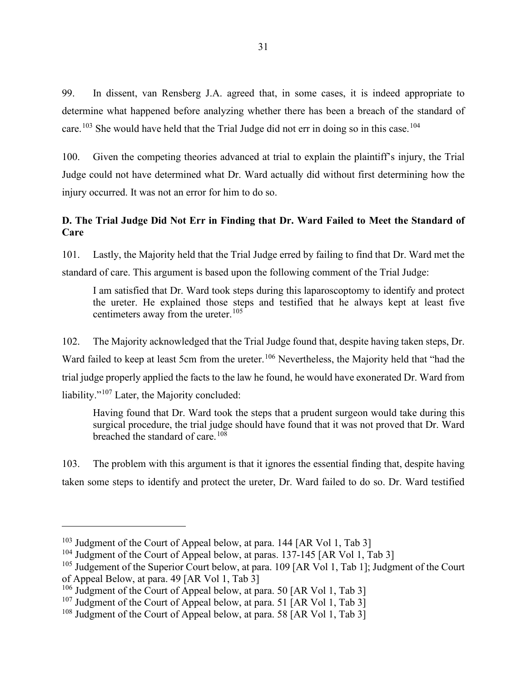99. In dissent, van Rensberg J.A. agreed that, in some cases, it is indeed appropriate to determine what happened before analyzing whether there has been a breach of the standard of care.<sup>[103](#page-34-0)</sup> She would have held that the Trial Judge did not err in doing so in this case.<sup>[104](#page-34-1)</sup>

100. Given the competing theories advanced at trial to explain the plaintiff's injury, the Trial Judge could not have determined what Dr. Ward actually did without first determining how the injury occurred. It was not an error for him to do so.

## **D. The Trial Judge Did Not Err in Finding that Dr. Ward Failed to Meet the Standard of Care**

101. Lastly, the Majority held that the Trial Judge erred by failing to find that Dr. Ward met the standard of care. This argument is based upon the following comment of the Trial Judge:

I am satisfied that Dr. Ward took steps during this laparoscoptomy to identify and protect the ureter. He explained those steps and testified that he always kept at least five centimeters away from the ureter. $105$ 

102. The Majority acknowledged that the Trial Judge found that, despite having taken steps, Dr. Ward failed to keep at least 5cm from the ureter.<sup>[106](#page-34-3)</sup> Nevertheless, the Majority held that "had the trial judge properly applied the facts to the law he found, he would have exonerated Dr. Ward from liability."<sup>[107](#page-34-4)</sup> Later, the Majority concluded:

Having found that Dr. Ward took the steps that a prudent surgeon would take during this surgical procedure, the trial judge should have found that it was not proved that Dr. Ward breached the standard of care.<sup>[108](#page-34-5)</sup>

103. The problem with this argument is that it ignores the essential finding that, despite having taken some steps to identify and protect the ureter, Dr. Ward failed to do so. Dr. Ward testified

<span id="page-34-0"></span><sup>&</sup>lt;sup>103</sup> Judgment of the Court of Appeal below, at para. 144 [AR Vol 1, Tab 3]

<span id="page-34-1"></span> $104$  Judgment of the Court of Appeal below, at paras. 137-145 [AR Vol 1, Tab 3]

<span id="page-34-2"></span><sup>&</sup>lt;sup>105</sup> Judgement of the Superior Court below, at para. 109 [AR Vol 1, Tab 1]; Judgment of the Court of Appeal Below, at para. 49 [AR Vol 1, Tab 3]

<span id="page-34-3"></span><sup>&</sup>lt;sup>106</sup> Judgment of the Court of Appeal below, at para. 50 [AR Vol 1, Tab 3]

<span id="page-34-4"></span><sup>&</sup>lt;sup>107</sup> Judgment of the Court of Appeal below, at para. 51 [AR Vol 1, Tab 3]

<span id="page-34-5"></span><sup>&</sup>lt;sup>108</sup> Judgment of the Court of Appeal below, at para. 58  $[AR Vol 1, Tab 3]$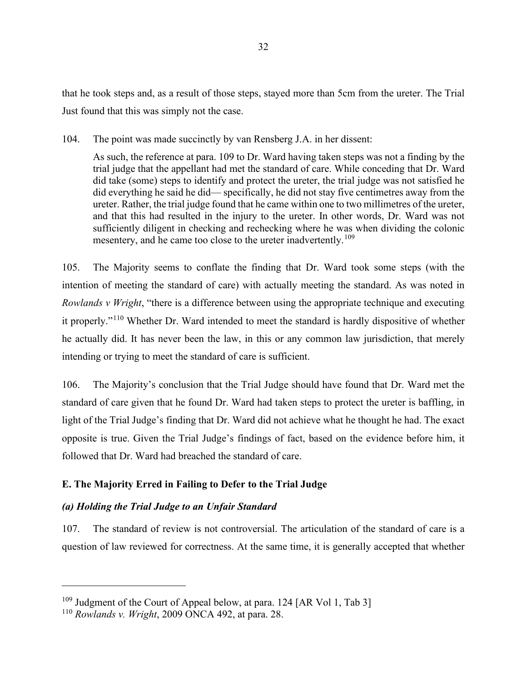that he took steps and, as a result of those steps, stayed more than 5cm from the ureter. The Trial Just found that this was simply not the case.

104. The point was made succinctly by van Rensberg J.A. in her dissent:

As such, the reference at para. 109 to Dr. Ward having taken steps was not a finding by the trial judge that the appellant had met the standard of care. While conceding that Dr. Ward did take (some) steps to identify and protect the ureter, the trial judge was not satisfied he did everything he said he did— specifically, he did not stay five centimetres away from the ureter. Rather, the trial judge found that he came within one to two millimetres of the ureter, and that this had resulted in the injury to the ureter. In other words, Dr. Ward was not sufficiently diligent in checking and rechecking where he was when dividing the colonic mesentery, and he came too close to the ureter inadvertently.<sup>[109](#page-35-0)</sup>

105. The Majority seems to conflate the finding that Dr. Ward took some steps (with the intention of meeting the standard of care) with actually meeting the standard. As was noted in *Rowlands v Wright*, "there is a difference between using the appropriate technique and executing it properly."[110](#page-35-1) Whether Dr. Ward intended to meet the standard is hardly dispositive of whether he actually did. It has never been the law, in this or any common law jurisdiction, that merely intending or trying to meet the standard of care is sufficient.

106. The Majority's conclusion that the Trial Judge should have found that Dr. Ward met the standard of care given that he found Dr. Ward had taken steps to protect the ureter is baffling, in light of the Trial Judge's finding that Dr. Ward did not achieve what he thought he had. The exact opposite is true. Given the Trial Judge's findings of fact, based on the evidence before him, it followed that Dr. Ward had breached the standard of care.

#### **E. The Majority Erred in Failing to Defer to the Trial Judge**

#### *(a) Holding the Trial Judge to an Unfair Standard*

107. The standard of review is not controversial. The articulation of the standard of care is a question of law reviewed for correctness. At the same time, it is generally accepted that whether

<span id="page-35-0"></span><sup>&</sup>lt;sup>109</sup> Judgment of the Court of Appeal below, at para. 124 [AR Vol 1, Tab 3]

<span id="page-35-1"></span><sup>110</sup> *Rowlands v. Wright*, 2009 ONCA 492, at para. 28.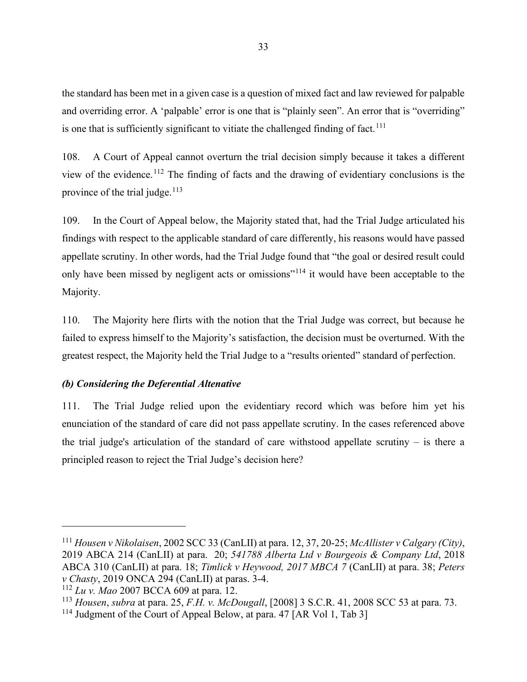the standard has been met in a given case is a question of mixed fact and law reviewed for palpable and overriding error. A 'palpable' error is one that is "plainly seen". An error that is "overriding" is one that is sufficiently significant to vitiate the challenged finding of fact.<sup>[111](#page-36-0)</sup>

108. A Court of Appeal cannot overturn the trial decision simply because it takes a different view of the evidence.<sup>[112](#page-36-1)</sup> The finding of facts and the drawing of evidentiary conclusions is the province of the trial judge. $113$ 

109. In the Court of Appeal below, the Majority stated that, had the Trial Judge articulated his findings with respect to the applicable standard of care differently, his reasons would have passed appellate scrutiny. In other words, had the Trial Judge found that "the goal or desired result could only have been missed by negligent acts or omissions"<sup>[114](#page-36-3)</sup> it would have been acceptable to the Majority.

110. The Majority here flirts with the notion that the Trial Judge was correct, but because he failed to express himself to the Majority's satisfaction, the decision must be overturned. With the greatest respect, the Majority held the Trial Judge to a "results oriented" standard of perfection.

#### *(b) Considering the Deferential Altenative*

111. The Trial Judge relied upon the evidentiary record which was before him yet his enunciation of the standard of care did not pass appellate scrutiny. In the cases referenced above the trial judge's articulation of the standard of care withstood appellate scrutiny – is there a principled reason to reject the Trial Judge's decision here?

<span id="page-36-0"></span><sup>111</sup> *Housen v Nikolaisen*, 2002 SCC 33 (CanLII) at para. 12, 37, 20-25; *McAllister v Calgary (City)*, 2019 ABCA 214 (CanLII) at para. 20; *541788 Alberta Ltd v Bourgeois & Company Ltd*, 2018 ABCA 310 (CanLII) at para. 18; *Timlick v Heywood, 2017 MBCA 7* (CanLII) at para. 38; *Peters v Chasty*, 2019 ONCA 294 (CanLII) at paras. 3-4.

<span id="page-36-1"></span><sup>112</sup> *Lu v. Mao* 2007 BCCA 609 at para. 12.

<span id="page-36-2"></span><sup>113</sup> *Housen*, *subra* at para. 25, *F.H. v. McDougall*, [2008] 3 S.C.R. 41, 2008 SCC 53 at para. 73.

<span id="page-36-3"></span><sup>&</sup>lt;sup>114</sup> Judgment of the Court of Appeal Below, at para. 47 [AR Vol 1, Tab 3]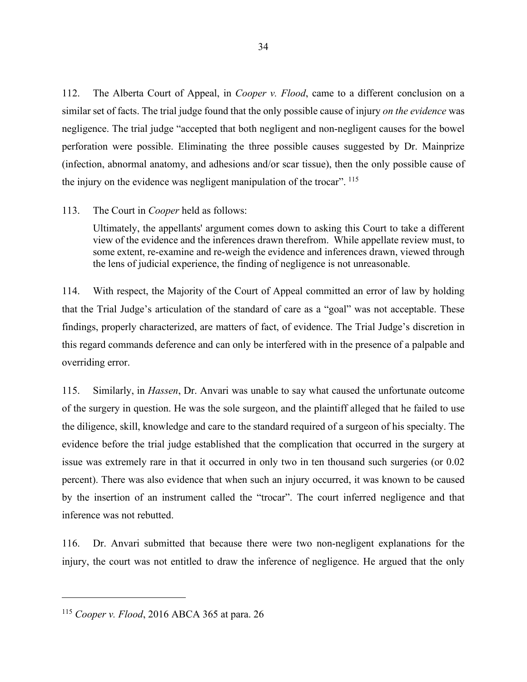112. The Alberta Court of Appeal, in *Cooper v. Flood*, came to a different conclusion on a similar set of facts. The trial judge found that the only possible cause of injury *on the evidence* was negligence. The trial judge "accepted that both negligent and non-negligent causes for the bowel perforation were possible. Eliminating the three possible causes suggested by Dr. Mainprize (infection, abnormal anatomy, and adhesions and/or scar tissue), then the only possible cause of the injury on the evidence was negligent manipulation of the trocar". <sup>[115](#page-37-0)</sup>

#### 113. The Court in *Cooper* held as follows:

Ultimately, the appellants' argument comes down to asking this Court to take a different view of the evidence and the inferences drawn therefrom. While appellate review must, to some extent, re-examine and re-weigh the evidence and inferences drawn, viewed through the lens of judicial experience, the finding of negligence is not unreasonable.

114. With respect, the Majority of the Court of Appeal committed an error of law by holding that the Trial Judge's articulation of the standard of care as a "goal" was not acceptable. These findings, properly characterized, are matters of fact, of evidence. The Trial Judge's discretion in this regard commands deference and can only be interfered with in the presence of a palpable and overriding error.

115. Similarly, in *Hassen*, Dr. Anvari was unable to say what caused the unfortunate outcome of the surgery in question. He was the sole surgeon, and the plaintiff alleged that he failed to use the diligence, skill, knowledge and care to the standard required of a surgeon of his specialty. The evidence before the trial judge established that the complication that occurred in the surgery at issue was extremely rare in that it occurred in only two in ten thousand such surgeries (or 0.02 percent). There was also evidence that when such an injury occurred, it was known to be caused by the insertion of an instrument called the "trocar". The court inferred negligence and that inference was not rebutted.

116. Dr. Anvari submitted that because there were two non-negligent explanations for the injury, the court was not entitled to draw the inference of negligence. He argued that the only

<span id="page-37-0"></span><sup>115</sup> *Cooper v. Flood*, 2016 ABCA 365 at para. 26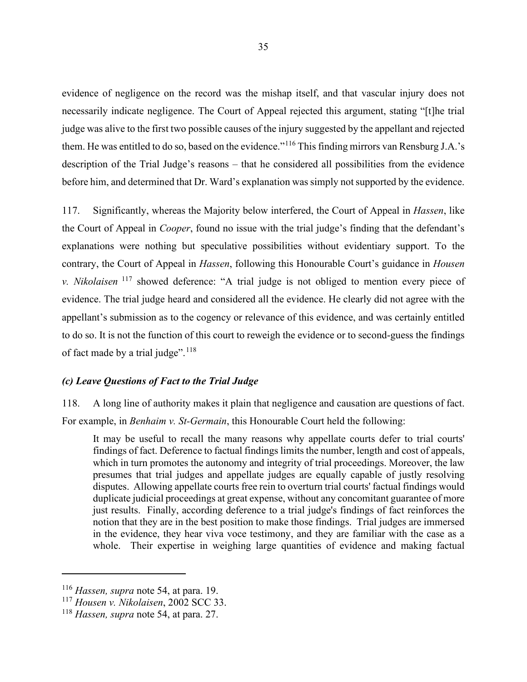evidence of negligence on the record was the mishap itself, and that vascular injury does not necessarily indicate negligence. The Court of Appeal rejected this argument, stating "[t]he trial judge was alive to the first two possible causes of the injury suggested by the appellant and rejected them. He was entitled to do so, based on the evidence."[116](#page-38-0) This finding mirrors van Rensburg J.A.'s description of the Trial Judge's reasons – that he considered all possibilities from the evidence before him, and determined that Dr. Ward's explanation was simply not supported by the evidence.

117. Significantly, whereas the Majority below interfered, the Court of Appeal in *Hassen*, like the Court of Appeal in *Cooper*, found no issue with the trial judge's finding that the defendant's explanations were nothing but speculative possibilities without evidentiary support. To the contrary, the Court of Appeal in *Hassen*, following this Honourable Court's guidance in *Housen v. Nikolaisen* [117](#page-38-1) showed deference: "A trial judge is not obliged to mention every piece of evidence. The trial judge heard and considered all the evidence. He clearly did not agree with the appellant's submission as to the cogency or relevance of this evidence, and was certainly entitled to do so. It is not the function of this court to reweigh the evidence or to second-guess the findings of fact made by a trial judge". $118$ 

### *(c) Leave Questions of Fact to the Trial Judge*

118. A long line of authority makes it plain that negligence and causation are questions of fact. For example, in *Benhaim v. St-Germain*, this Honourable Court held the following:

It may be useful to recall the many reasons why appellate courts defer to trial courts' findings of fact. Deference to factual findings limits the number, length and cost of appeals, which in turn promotes the autonomy and integrity of trial proceedings. Moreover, the law presumes that trial judges and appellate judges are equally capable of justly resolving disputes. Allowing appellate courts free rein to overturn trial courts' factual findings would duplicate judicial proceedings at great expense, without any concomitant guarantee of more just results. Finally, according deference to a trial judge's findings of fact reinforces the notion that they are in the best position to make those findings. Trial judges are immersed in the evidence, they hear viva voce testimony, and they are familiar with the case as a whole. Their expertise in weighing large quantities of evidence and making factual

<span id="page-38-0"></span><sup>116</sup> *Hassen, supra* note 54, at para. 19.

<span id="page-38-1"></span><sup>117</sup> *Housen v. Nikolaisen*, 2002 SCC 33.

<span id="page-38-2"></span><sup>118</sup> *Hassen, supra* note 54, at para. 27.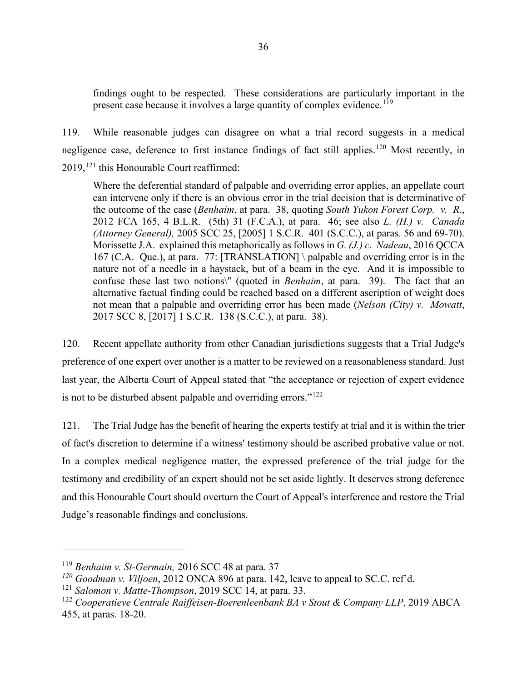findings ought to be respected. These considerations are particularly important in the present case because it involves a large quantity of complex evidence.<sup>[119](#page-39-0)</sup>

119. While reasonable judges can disagree on what a trial record suggests in a medical negligence case, deference to first instance findings of fact still applies.<sup>[120](#page-39-1)</sup> Most recently, in  $2019$ ,<sup>[121](#page-39-2)</sup> this Honourable Court reaffirmed:

Where the deferential standard of palpable and overriding error applies, an appellate court can intervene only if there is an obvious error in the trial decision that is determinative of the outcome of the case (*Benhaim*, at para. 38, quoting *South Yukon Forest Corp. v. R*., 2012 FCA 165, 4 B.L.R. (5th) 31 (F.C.A.), at para. 46; see also *L. (H.) v. Canada (Attorney General),* 2005 SCC 25, [2005] 1 S.C.R. 401 (S.C.C.), at paras. 56 and 69-70). Morissette J.A. explained this metaphorically as follows in *G. (J.) c. Nadeau*, 2016 QCCA 167 (C.A. Que.), at para. 77: [TRANSLATION] \ palpable and overriding error is in the nature not of a needle in a haystack, but of a beam in the eye. And it is impossible to confuse these last two notions\" (quoted in *Benhaim*, at para. 39). The fact that an alternative factual finding could be reached based on a different ascription of weight does not mean that a palpable and overriding error has been made (*Nelson (City) v. Mowatt*, 2017 SCC 8, [2017] 1 S.C.R. 138 (S.C.C.), at para. 38).

120. Recent appellate authority from other Canadian jurisdictions suggests that a Trial Judge's preference of one expert over another is a matter to be reviewed on a reasonableness standard. Just last year, the Alberta Court of Appeal stated that "the acceptance or rejection of expert evidence is not to be disturbed absent palpable and overriding errors."<sup>[122](#page-39-3)</sup>

121. The Trial Judge has the benefit of hearing the experts testify at trial and it is within the trier of fact's discretion to determine if a witness' testimony should be ascribed probative value or not. In a complex medical negligence matter, the expressed preference of the trial judge for the testimony and credibility of an expert should not be set aside lightly. It deserves strong deference and this Honourable Court should overturn the Court of Appeal's interference and restore the Trial Judge's reasonable findings and conclusions.

<span id="page-39-0"></span><sup>119</sup> *Benhaim v. St-Germain,* 2016 SCC 48 at para. 37

<span id="page-39-1"></span>*<sup>120</sup> Goodman v. Viljoen*, 2012 ONCA 896 at para. 142, leave to appeal to SC.C. ref'd.

<span id="page-39-2"></span><sup>121</sup> *Salomon v. Matte-Thompson*, 2019 SCC 14, at para. 33.

<span id="page-39-3"></span><sup>122</sup> *Cooperatieve Centrale Raiffeisen-Boerenleenbank BA v Stout & Company LLP*, 2019 ABCA 455, at paras. 18-20.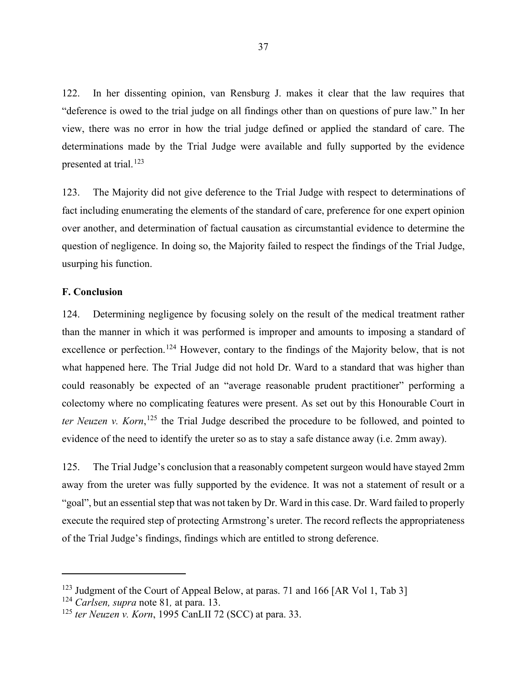122. In her dissenting opinion, van Rensburg J. makes it clear that the law requires that "deference is owed to the trial judge on all findings other than on questions of pure law." In her view, there was no error in how the trial judge defined or applied the standard of care. The determinations made by the Trial Judge were available and fully supported by the evidence presented at trial.<sup>[123](#page-40-0)</sup>

123. The Majority did not give deference to the Trial Judge with respect to determinations of fact including enumerating the elements of the standard of care, preference for one expert opinion over another, and determination of factual causation as circumstantial evidence to determine the question of negligence. In doing so, the Majority failed to respect the findings of the Trial Judge, usurping his function.

#### **F. Conclusion**

124. Determining negligence by focusing solely on the result of the medical treatment rather than the manner in which it was performed is improper and amounts to imposing a standard of excellence or perfection.<sup>[124](#page-40-1)</sup> However, contary to the findings of the Majority below, that is not what happened here. The Trial Judge did not hold Dr. Ward to a standard that was higher than could reasonably be expected of an "average reasonable prudent practitioner" performing a colectomy where no complicating features were present. As set out by this Honourable Court in *ter Neuzen v. Korn*, [125](#page-40-2) the Trial Judge described the procedure to be followed, and pointed to evidence of the need to identify the ureter so as to stay a safe distance away (i.e. 2mm away).

125. The Trial Judge's conclusion that a reasonably competent surgeon would have stayed 2mm away from the ureter was fully supported by the evidence. It was not a statement of result or a "goal", but an essential step that was not taken by Dr. Ward in this case. Dr. Ward failed to properly execute the required step of protecting Armstrong's ureter. The record reflects the appropriateness of the Trial Judge's findings, findings which are entitled to strong deference.

<span id="page-40-0"></span><sup>&</sup>lt;sup>123</sup> Judgment of the Court of Appeal Below, at paras. 71 and 166 [AR Vol 1, Tab 3]

<span id="page-40-1"></span><sup>124</sup> *Carlsen, supra* note 81*,* at para. 13.

<span id="page-40-2"></span><sup>125</sup> *ter Neuzen v. Korn*, 1995 CanLII 72 (SCC) at para. 33.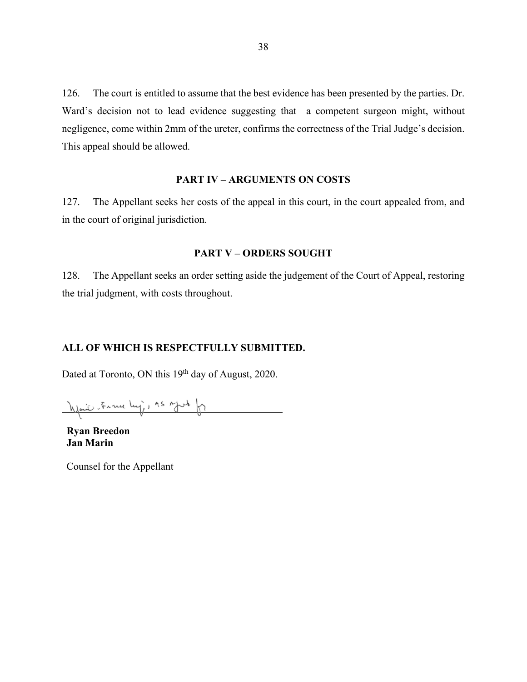126. The court is entitled to assume that the best evidence has been presented by the parties. Dr. Ward's decision not to lead evidence suggesting that a competent surgeon might, without negligence, come within 2mm of the ureter, confirms the correctness of the Trial Judge's decision. This appeal should be allowed.

#### **PART IV – ARGUMENTS ON COSTS**

127. The Appellant seeks her costs of the appeal in this court, in the court appealed from, and in the court of original jurisdiction.

#### **PART V – ORDERS SOUGHT**

128. The Appellant seeks an order setting aside the judgement of the Court of Appeal, restoring the trial judgment, with costs throughout.

#### **ALL OF WHICH IS RESPECTFULLY SUBMITTED.**

Dated at Toronto, ON this 19<sup>th</sup> day of August, 2020.

your France huj, AS Mot fr

**Ryan Breedon Jan Marin** 

Counsel for the Appellant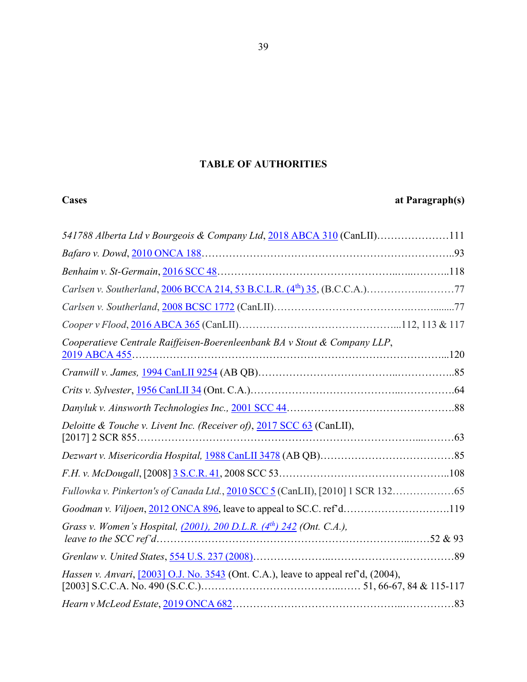## **TABLE OF AUTHORITIES**

## **Cases at Paragraph(s)**

| 541788 Alberta Ltd v Bourgeois & Company Ltd, 2018 ABCA 310 (CanLII)111                    |  |
|--------------------------------------------------------------------------------------------|--|
|                                                                                            |  |
|                                                                                            |  |
|                                                                                            |  |
|                                                                                            |  |
|                                                                                            |  |
| Cooperatieve Centrale Raiffeisen-Boerenleenbank BA v Stout & Company LLP,<br>2019 ABCA 455 |  |
|                                                                                            |  |
|                                                                                            |  |
|                                                                                            |  |
| Deloitte & Touche v. Livent Inc. (Receiver of), 2017 SCC 63 (CanLII),                      |  |
|                                                                                            |  |
|                                                                                            |  |
| Fullowka v. Pinkerton's of Canada Ltd., 2010 SCC 5 (CanLII), [2010] 1 SCR 132              |  |
| Goodman v. Viljoen, 2012 ONCA 896, leave to appeal to SC.C. ref'd119                       |  |
| Grass v. Women's Hospital, $(2001)$ , 200 D.L.R. $(4th)$ 242 (Ont. C.A.),                  |  |
|                                                                                            |  |
| Hassen v. Anvari, [2003] O.J. No. 3543 (Ont. C.A.), leave to appeal ref'd, (2004),         |  |
|                                                                                            |  |